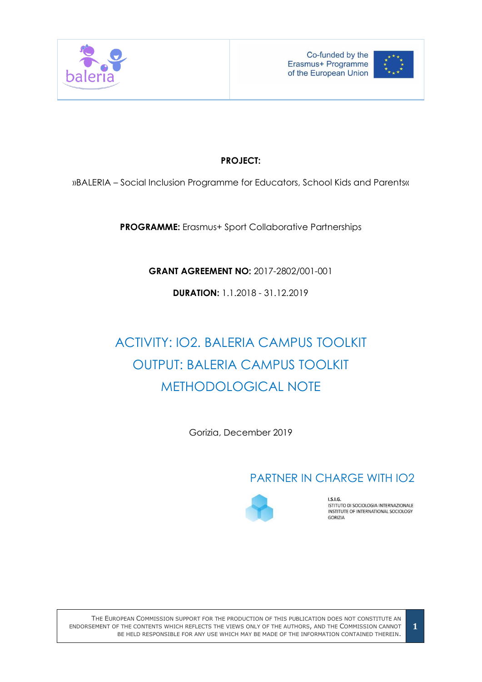



## **PROJECT:**

»BALERIA – Social Inclusion Programme for Educators, School Kids and Parents«

**PROGRAMME:** Erasmus+ Sport Collaborative Partnerships

**GRANT AGREEMENT NO:** 2017-2802/001-001

**DURATION:** 1.1.2018 - 31.12.2019

# ACTIVITY: IO2. BALERIA CAMPUS TOOLKIT OUTPUT: BALERIA CAMPUS TOOLKIT METHODOLOGICAL NOTE

Gorizia, December 2019

# PARTNER IN CHARGE WITH IO2



**LS.LG.** ISTITUTO DI SOCIOLOGIA INTERNAZIONALE INSTITUTE OF INTERNATIONAL SOCIOLOGY **GORIZIA**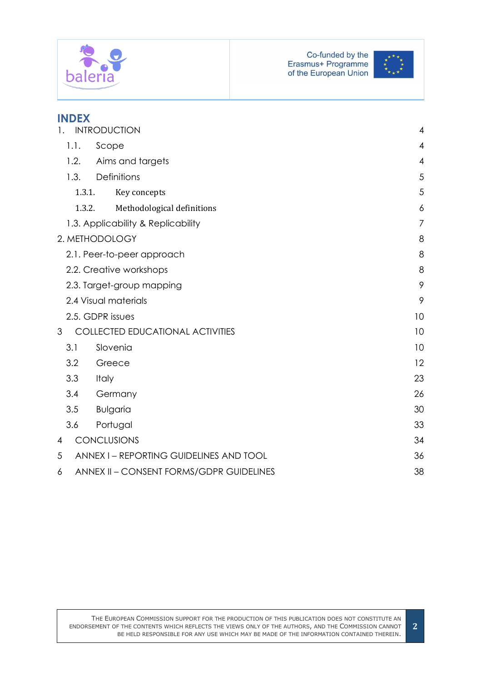



| <b>INDEX</b>                                  |    |
|-----------------------------------------------|----|
| <b>INTRODUCTION</b>                           | 4  |
| 1.1.<br>Scope                                 | 4  |
| 1.2.<br>Aims and targets                      | 4  |
| Definitions<br>1.3.                           | 5  |
| 1.3.1.<br>Key concepts                        | 5  |
| 1.3.2.<br>Methodological definitions          | 6  |
| 1.3. Applicability & Replicability            | 7  |
| 2. METHODOLOGY                                | 8  |
| 2.1. Peer-to-peer approach                    | 8  |
| 2.2. Creative workshops                       | 8  |
| 2.3. Target-group mapping                     | 9  |
| 2.4 Visual materials                          | 9  |
| 2.5. GDPR issues                              | 10 |
| <b>COLLECTED EDUCATIONAL ACTIVITIES</b><br>3  | 10 |
| Slovenia<br>3.1                               | 10 |
| 3.2<br>Greece                                 | 12 |
| 3.3<br>Italy                                  | 23 |
| 3.4<br>Germany                                | 26 |
| 3.5<br><b>Bulgaria</b>                        | 30 |
| 3.6<br>Portugal                               | 33 |
| <b>CONCLUSIONS</b><br>4                       | 34 |
| ANNEX I - REPORTING GUIDELINES AND TOOL<br>5  | 36 |
| ANNEX II - CONSENT FORMS/GDPR GUIDELINES<br>6 | 38 |

**2**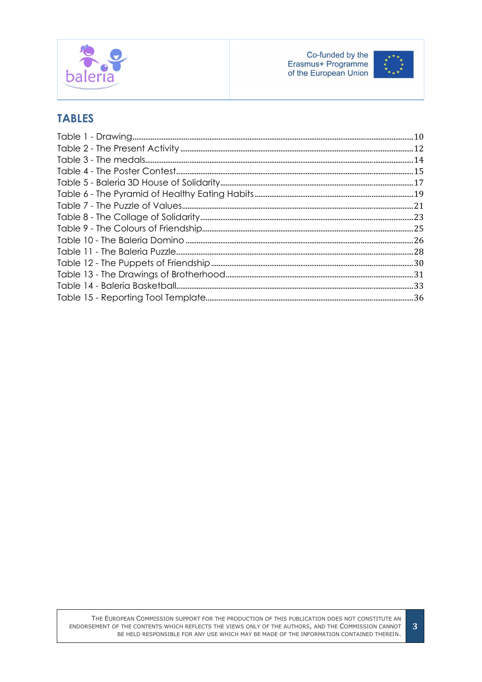



# **TABLES**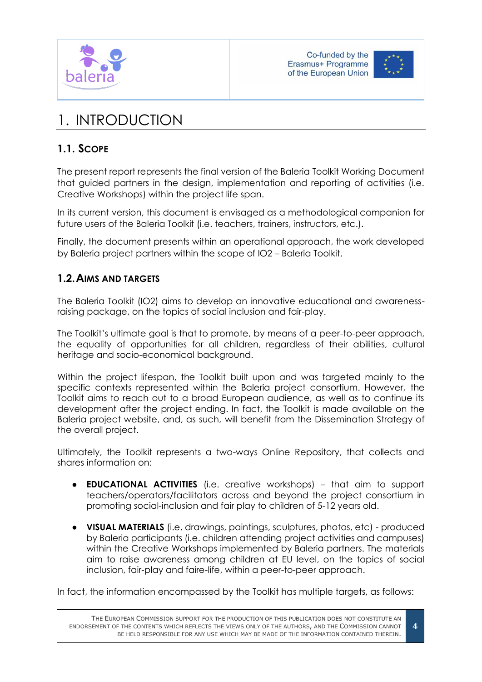





# <span id="page-3-0"></span>1. INTRODUCTION

# <span id="page-3-1"></span>**1.1. SCOPE**

The present report represents the final version of the Baleria Toolkit Working Document that guided partners in the design, implementation and reporting of activities (i.e. Creative Workshops) within the project life span.

In its current version, this document is envisaged as a methodological companion for future users of the Baleria Toolkit (i.e. teachers, trainers, instructors, etc.).

Finally, the document presents within an operational approach, the work developed by Baleria project partners within the scope of IO2 – Baleria Toolkit.

## <span id="page-3-2"></span>**1.2.AIMS AND TARGETS**

The Baleria Toolkit (IO2) aims to develop an innovative educational and awarenessraising package, on the topics of social inclusion and fair-play.

The Toolkit's ultimate goal is that to promote, by means of a peer-to-peer approach, the equality of opportunities for all children, regardless of their abilities, cultural heritage and socio-economical background.

Within the project lifespan, the Toolkit built upon and was targeted mainly to the specific contexts represented within the Baleria project consortium. However, the Toolkit aims to reach out to a broad European audience, as well as to continue its development after the project ending. In fact, the Toolkit is made available on the Baleria project website, and, as such, will benefit from the Dissemination Strategy of the overall project.

Ultimately, the Toolkit represents a two-ways Online Repository, that collects and shares information on:

- **EDUCATIONAL ACTIVITIES** (i.e. creative workshops) that aim to support teachers/operators/facilitators across and beyond the project consortium in promoting social-inclusion and fair play to children of 5-12 years old.
- **VISUAL MATERIALS** (i.e. drawings, paintings, sculptures, photos, etc) produced by Baleria participants (i.e. children attending project activities and campuses) within the Creative Workshops implemented by Baleria partners. The materials aim to raise awareness among children at EU level, on the topics of social inclusion, fair-play and faire-life, within a peer-to-peer approach.

In fact, the information encompassed by the Toolkit has multiple targets, as follows: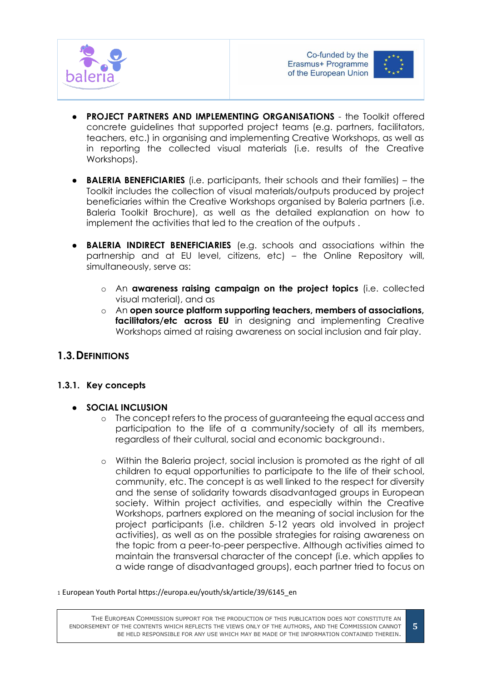



- **PROJECT PARTNERS AND IMPLEMENTING ORGANISATIONS** the Toolkit offered concrete guidelines that supported project teams (e.g. partners, facilitators, teachers, etc.) in organising and implementing Creative Workshops, as well as in reporting the collected visual materials (i.e. results of the Creative Workshops).
- **BALERIA BENEFICIARIES** (i.e. participants, their schools and their families) the Toolkit includes the collection of visual materials/outputs produced by project beneficiaries within the Creative Workshops organised by Baleria partners (i.e. Baleria Toolkit Brochure), as well as the detailed explanation on how to implement the activities that led to the creation of the outputs .
- **BALERIA INDIRECT BENEFICIARIES** (e.g. schools and associations within the partnership and at EU level, citizens, etc) – the Online Repository will, simultaneously, serve as:
	- o An **awareness raising campaign on the project topics** (i.e. collected visual material), and as
	- o An **open source platform supporting teachers, members of associations, facilitators/etc across EU** in designing and implementing Creative Workshops aimed at raising awareness on social inclusion and fair play.

## <span id="page-4-0"></span>**1.3.DEFINITIONS**

## <span id="page-4-1"></span>**1.3.1. Key concepts**

- **SOCIAL INCLUSION**
	- o The concept refers to the process of guaranteeing the equal access and participation to the life of a community/society of all its members, regardless of their cultural, social and economic background1.
	- o Within the Baleria project, social inclusion is promoted as the right of all children to equal opportunities to participate to the life of their school, community, etc. The concept is as well linked to the respect for diversity and the sense of solidarity towards disadvantaged groups in European society. Within project activities, and especially within the Creative Workshops, partners explored on the meaning of social inclusion for the project participants (i.e. children 5-12 years old involved in project activities), as well as on the possible strategies for raising awareness on the topic from a peer-to-peer perspective. Although activities aimed to maintain the transversal character of the concept (i.e. which applies to a wide range of disadvantaged groups), each partner tried to focus on

#### <sup>1</sup> European Youth Portal https://europa.eu/youth/sk/article/39/6145\_en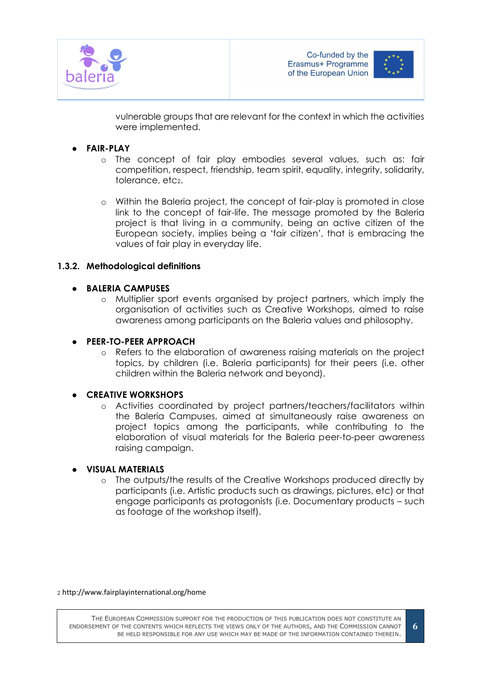



**6**

vulnerable groups that are relevant for the context in which the activities were implemented.

## ● **FAIR-PLAY**

- o The concept of fair play embodies several values, such as: fair competition, respect, friendship, team spirit, equality, integrity, solidarity, tolerance, etc<sub>2</sub>.
- o Within the Baleria project, the concept of fair-play is promoted in close link to the concept of fair-life. The message promoted by the Baleria project is that living in a community, being an active citizen of the European society, implies being a 'fair citizen', that is embracing the values of fair play in everyday life.

## <span id="page-5-0"></span>**1.3.2. Methodological definitions**

## ● **BALERIA CAMPUSES**

- o Multiplier sport events organised by project partners, which imply the organisation of activities such as Creative Workshops, aimed to raise awareness among participants on the Baleria values and philosophy.
- **PEER-TO-PEER APPROACH**
	- o Refers to the elaboration of awareness raising materials on the project topics, by children (i.e. Baleria participants) for their peers (i.e. other children within the Baleria network and beyond).

## **CREATIVE WORKSHOPS**

o Activities coordinated by project partners/teachers/facilitators within the Baleria Campuses, aimed at simultaneously raise awareness on project topics among the participants, while contributing to the elaboration of visual materials for the Baleria peer-to-peer awareness raising campaign.

## ● **VISUAL MATERIALS**

o The outputs/the results of the Creative Workshops produced directly by participants (i.e. Artistic products such as drawings, pictures, etc) or that engage participants as protagonists (i.e. Documentary products – such as footage of the workshop itself).

<sup>2</sup> http://www.fairplayinternational.org/home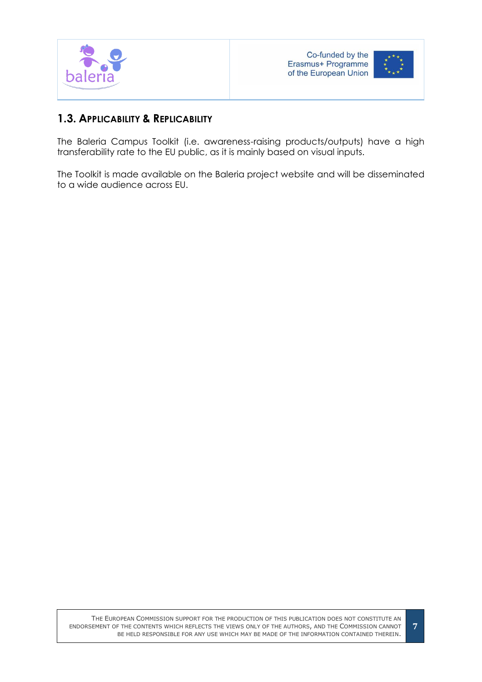



## <span id="page-6-0"></span>**1.3. APPLICABILITY & REPLICABILITY**

The Baleria Campus Toolkit (i.e. awareness-raising products/outputs) have a high transferability rate to the EU public, as it is mainly based on visual inputs.

The Toolkit is made available on the Baleria project website and will be disseminated to a wide audience across EU.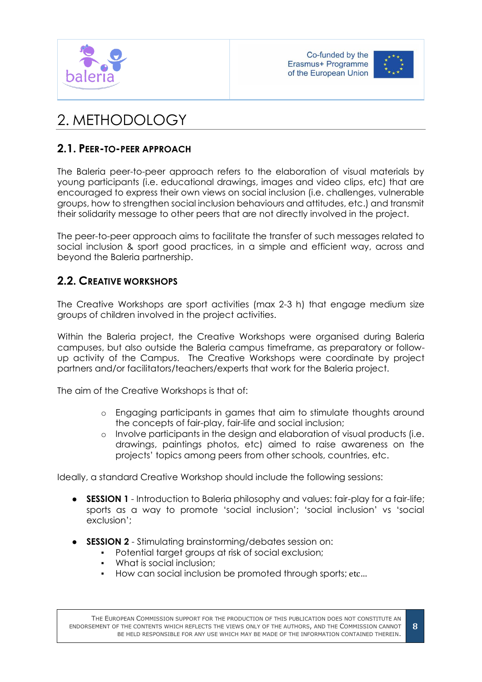





# <span id="page-7-0"></span>2. METHODOLOGY

# <span id="page-7-1"></span>**2.1. PEER-TO-PEER APPROACH**

The Baleria peer-to-peer approach refers to the elaboration of visual materials by young participants (i.e. educational drawings, images and video clips, etc) that are encouraged to express their own views on social inclusion (i.e. challenges, vulnerable groups, how to strengthen social inclusion behaviours and attitudes, etc.) and transmit their solidarity message to other peers that are not directly involved in the project.

The peer-to-peer approach aims to facilitate the transfer of such messages related to social inclusion & sport good practices, in a simple and efficient way, across and beyond the Baleria partnership.

# <span id="page-7-2"></span>**2.2. CREATIVE WORKSHOPS**

The Creative Workshops are sport activities (max 2-3 h) that engage medium size groups of children involved in the project activities.

Within the Baleria project, the Creative Workshops were organised during Baleria campuses, but also outside the Baleria campus timeframe, as preparatory or followup activity of the Campus. The Creative Workshops were coordinate by project partners and/or facilitators/teachers/experts that work for the Baleria project.

The aim of the Creative Workshops is that of:

- o Engaging participants in games that aim to stimulate thoughts around the concepts of fair-play, fair-life and social inclusion;
- o Involve participants in the design and elaboration of visual products (i.e. drawings, paintings photos, etc) aimed to raise awareness on the projects' topics among peers from other schools, countries, etc.

Ideally, a standard Creative Workshop should include the following sessions:

- **SESSION 1** Introduction to Baleria philosophy and values: fair-play for a fair-life; sports as a way to promote 'social inclusion'; 'social inclusion' vs 'social exclusion';
- **SESSION 2** Stimulating brainstorming/debates session on:
	- Potential target groups at risk of social exclusion;
	- What is social inclusion;
	- How can social inclusion be promoted through sports; etc...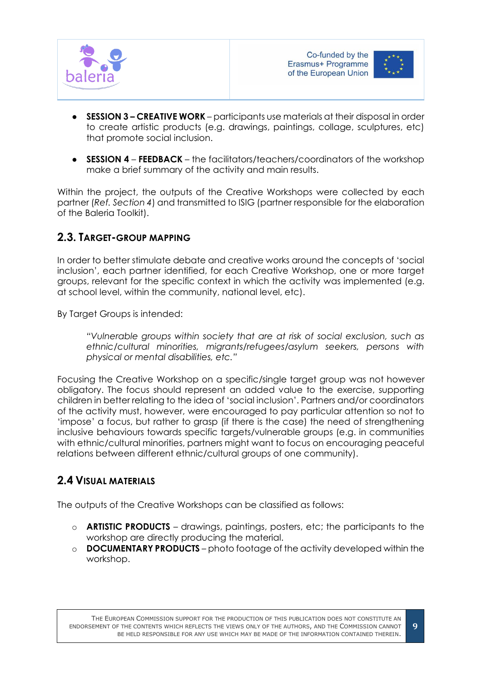



- **SESSION 3 – CREATIVE WORK**  participants use materials at their disposal in order to create artistic products (e.g. drawings, paintings, collage, sculptures, etc) that promote social inclusion.
- **SESSION 4 FEEDBACK**  the facilitators/teachers/coordinators of the workshop make a brief summary of the activity and main results.

Within the project, the outputs of the Creative Workshops were collected by each partner (*Ref. Section 4*) and transmitted to ISIG (partner responsible for the elaboration of the Baleria Toolkit).

## <span id="page-8-0"></span>**2.3. TARGET-GROUP MAPPING**

In order to better stimulate debate and creative works around the concepts of 'social inclusion', each partner identified, for each Creative Workshop, one or more target groups, relevant for the specific context in which the activity was implemented (e.g. at school level, within the community, national level, etc).

By Target Groups is intended:

*"Vulnerable groups within society that are at risk of social exclusion, such as ethnic/cultural minorities, migrants/refugees/asylum seekers, persons with physical or mental disabilities, etc."*

Focusing the Creative Workshop on a specific/single target group was not however obligatory. The focus should represent an added value to the exercise, supporting children in better relating to the idea of 'social inclusion'. Partners and/or coordinators of the activity must, however, were encouraged to pay particular attention so not to 'impose' a focus, but rather to grasp (if there is the case) the need of strengthening inclusive behaviours towards specific targets/vulnerable groups (e.g. in communities with ethnic/cultural minorities, partners might want to focus on encouraging peaceful relations between different ethnic/cultural groups of one community).

# <span id="page-8-1"></span>**2.4 VISUAL MATERIALS**

The outputs of the Creative Workshops can be classified as follows:

- o **ARTISTIC PRODUCTS** drawings, paintings, posters, etc; the participants to the workshop are directly producing the material.
- o **DOCUMENTARY PRODUCTS** photo footage of the activity developed within the workshop.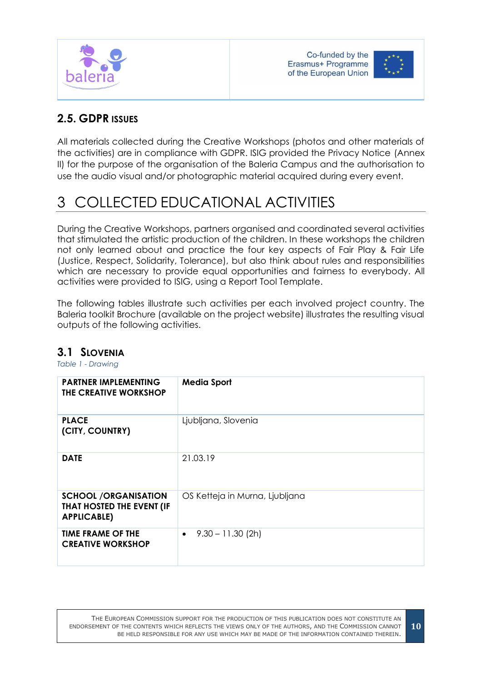



# <span id="page-9-0"></span>**2.5. GDPR ISSUES**

All materials collected during the Creative Workshops (photos and other materials of the activities) are in compliance with GDPR. ISIG provided the Privacy Notice (Annex II) for the purpose of the organisation of the Baleria Campus and the authorisation to use the audio visual and/or photographic material acquired during every event.

# <span id="page-9-1"></span>3 COLLECTED EDUCATIONAL ACTIVITIES

During the Creative Workshops, partners organised and coordinated several activities that stimulated the artistic production of the children. In these workshops the children not only learned about and practice the four key aspects of Fair Play & Fair Life (Justice, Respect, Solidarity, Tolerance), but also think about rules and responsibilities which are necessary to provide equal opportunities and fairness to everybody. All activities were provided to ISIG, using a Report Tool Template.

The following tables illustrate such activities per each involved project country. The Baleria toolkit Brochure (available on the project website) illustrates the resulting visual outputs of the following activities.

# <span id="page-9-2"></span>**3.1 SLOVENIA**

<span id="page-9-3"></span>*Table 1 - Drawing*

| <b>PARTNER IMPLEMENTING</b><br>THE CREATIVE WORKSHOP                           | <b>Media Sport</b>               |
|--------------------------------------------------------------------------------|----------------------------------|
| <b>PLACE</b><br>(CITY, COUNTRY)                                                | Ljubljana, Slovenia              |
| <b>DATE</b>                                                                    | 21.03.19                         |
| <b>SCHOOL /ORGANISATION</b><br>THAT HOSTED THE EVENT (IF<br><b>APPLICABLE)</b> | OS Ketteja in Murna, Ljubljana   |
| <b>TIME FRAME OF THE</b><br><b>CREATIVE WORKSHOP</b>                           | $9.30 - 11.30$ (2h)<br>$\bullet$ |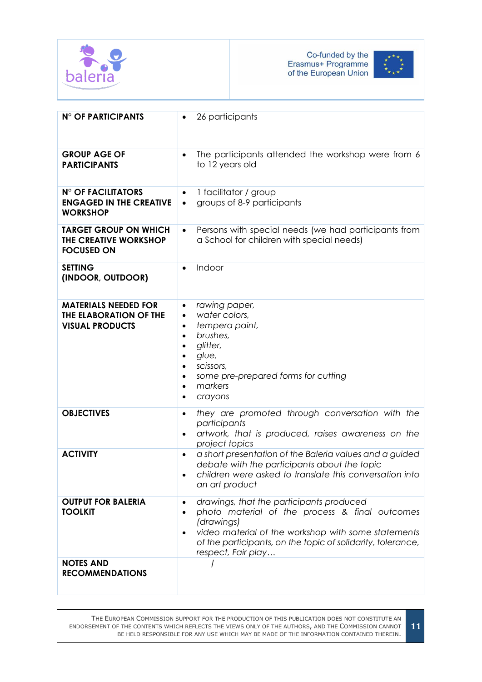



| <b>N° OF PARTICIPANTS</b>                                                       | 26 participants                                                                                                                                                                                                                                                               |
|---------------------------------------------------------------------------------|-------------------------------------------------------------------------------------------------------------------------------------------------------------------------------------------------------------------------------------------------------------------------------|
| <b>GROUP AGE OF</b><br><b>PARTICIPANTS</b>                                      | The participants attended the workshop were from 6<br>to 12 years old                                                                                                                                                                                                         |
| <b>N° OF FACILITATORS</b><br><b>ENGAGED IN THE CREATIVE</b><br><b>WORKSHOP</b>  | 1 facilitator / group<br>$\bullet$<br>groups of 8-9 participants<br>$\bullet$                                                                                                                                                                                                 |
| <b>TARGET GROUP ON WHICH</b><br>THE CREATIVE WORKSHOP<br><b>FOCUSED ON</b>      | Persons with special needs (we had participants from<br>$\bullet$<br>a School for children with special needs)                                                                                                                                                                |
| <b>SETTING</b><br>(INDOOR, OUTDOOR)                                             | Indoor<br>$\bullet$                                                                                                                                                                                                                                                           |
| <b>MATERIALS NEEDED FOR</b><br>THE ELABORATION OF THE<br><b>VISUAL PRODUCTS</b> | rawing paper,<br>$\bullet$<br>water colors,<br>$\bullet$<br>tempera paint,<br>$\bullet$<br>brushes,<br>$\bullet$<br>glitter,<br>$\bullet$<br>glue,<br>٠<br>scissors,<br>$\bullet$<br>some pre-prepared forms for cutting<br>$\bullet$<br>markers<br>$\bullet$<br>crayons<br>٠ |
| <b>OBJECTIVES</b>                                                               | they are promoted through conversation with the<br>$\bullet$<br>participants<br>artwork, that is produced, raises awareness on the<br>$\bullet$<br>project topics                                                                                                             |
| <b>ACTIVITY</b>                                                                 | a short presentation of the Baleria values and a guided<br>$\bullet$<br>debate with the participants about the topic<br>children were asked to translate this conversation into<br>an art product                                                                             |
| <b>OUTPUT FOR BALERIA</b><br><b>TOOLKIT</b>                                     | drawings, that the participants produced<br>photo material of the process & final outcomes<br>(drawings)<br>video material of the workshop with some statements<br>$\bullet$<br>of the participants, on the topic of solidarity, tolerance,<br>respect, Fair play             |
| <b>NOTES AND</b><br><b>RECOMMENDATIONS</b>                                      |                                                                                                                                                                                                                                                                               |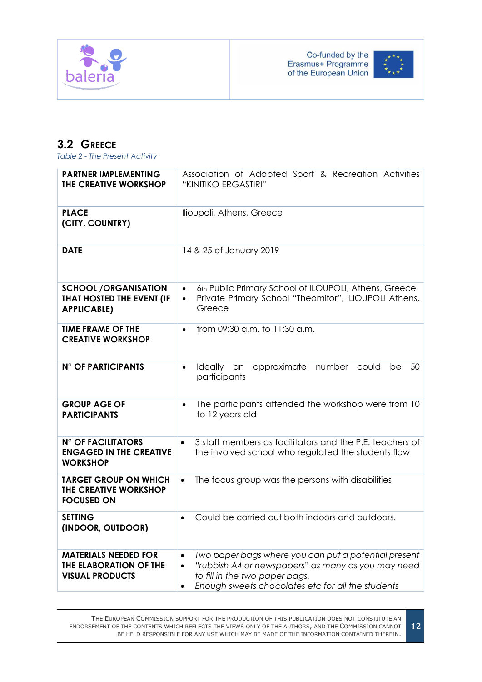



# <span id="page-11-0"></span>**3.2 GREECE**

<span id="page-11-1"></span>*Table 2 - The Present Activity*

| <b>PARTNER IMPLEMENTING</b><br>THE CREATIVE WORKSHOP                            | Association of Adapted Sport & Recreation Activities<br>"KINITIKO ERGASTIRI"                                                                                                                                                             |  |  |  |  |
|---------------------------------------------------------------------------------|------------------------------------------------------------------------------------------------------------------------------------------------------------------------------------------------------------------------------------------|--|--|--|--|
| <b>PLACE</b><br>(CITY, COUNTRY)                                                 | llioupoli, Athens, Greece                                                                                                                                                                                                                |  |  |  |  |
| <b>DATE</b>                                                                     | 14 & 25 of January 2019                                                                                                                                                                                                                  |  |  |  |  |
| <b>SCHOOL /ORGANISATION</b><br>THAT HOSTED THE EVENT (IF<br><b>APPLICABLE)</b>  | 6th Public Primary School of ILOUPOLI, Athens, Greece<br>$\bullet$<br>Private Primary School "Theomitor", ILIOUPOLI Athens,<br>$\bullet$<br>Greece                                                                                       |  |  |  |  |
| <b>TIME FRAME OF THE</b><br><b>CREATIVE WORKSHOP</b>                            | from 09:30 a.m. to 11:30 a.m.<br>$\bullet$                                                                                                                                                                                               |  |  |  |  |
| <b>N° OF PARTICIPANTS</b>                                                       | Ideally<br>approximate<br>number<br>50<br>an<br>could<br>be<br>$\bullet$<br>participants                                                                                                                                                 |  |  |  |  |
| <b>GROUP AGE OF</b><br><b>PARTICIPANTS</b>                                      | The participants attended the workshop were from 10<br>$\bullet$<br>to 12 years old                                                                                                                                                      |  |  |  |  |
| <b>N° OF FACILITATORS</b><br><b>ENGAGED IN THE CREATIVE</b><br><b>WORKSHOP</b>  | 3 staff members as facilitators and the P.E. teachers of<br>$\bullet$<br>the involved school who regulated the students flow                                                                                                             |  |  |  |  |
| <b>TARGET GROUP ON WHICH</b><br>THE CREATIVE WORKSHOP<br><b>FOCUSED ON</b>      | The focus group was the persons with disabilities<br>$\bullet$                                                                                                                                                                           |  |  |  |  |
| <b>SETTING</b><br>(INDOOR, OUTDOOR)                                             | Could be carried out both indoors and outdoors.<br>$\bullet$                                                                                                                                                                             |  |  |  |  |
| <b>MATERIALS NEEDED FOR</b><br>THE ELABORATION OF THE<br><b>VISUAL PRODUCTS</b> | Two paper bags where you can put a potential present<br>$\bullet$<br>"rubbish A4 or newspapers" as many as you may need<br>$\bullet$<br>to fill in the two paper bags.<br>Enough sweets chocolates etc for all the students<br>$\bullet$ |  |  |  |  |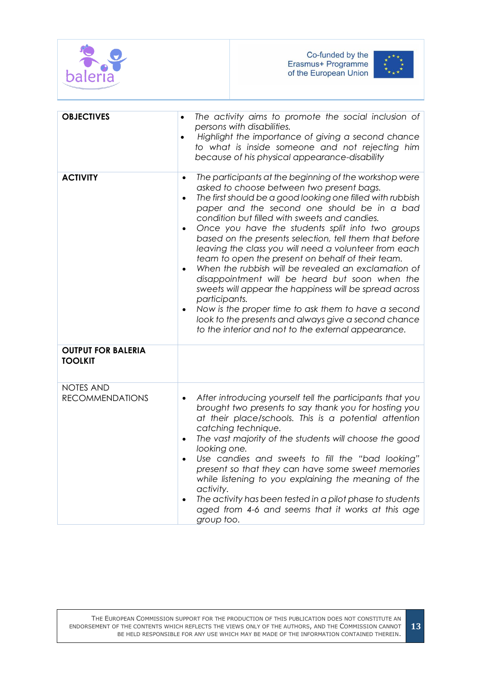



| <b>OBJECTIVES</b>                           | The activity aims to promote the social inclusion of<br>$\bullet$<br>persons with disabilities.<br>Highlight the importance of giving a second chance<br>$\bullet$<br>to what is inside someone and not rejecting him<br>because of his physical appearance-disability                                                                                                                                                                                                                                                                                                                                                                                                                                                                                                                                                                                                            |
|---------------------------------------------|-----------------------------------------------------------------------------------------------------------------------------------------------------------------------------------------------------------------------------------------------------------------------------------------------------------------------------------------------------------------------------------------------------------------------------------------------------------------------------------------------------------------------------------------------------------------------------------------------------------------------------------------------------------------------------------------------------------------------------------------------------------------------------------------------------------------------------------------------------------------------------------|
| <b>ACTIVITY</b>                             | The participants at the beginning of the workshop were<br>$\bullet$<br>asked to choose between two present bags.<br>The first should be a good looking one filled with rubbish<br>paper and the second one should be in a bad<br>condition but filled with sweets and candies.<br>Once you have the students split into two groups<br>based on the presents selection, tell them that before<br>leaving the class you will need a volunteer from each<br>team to open the present on behalf of their team.<br>When the rubbish will be revealed an exclamation of<br>disappointment will be heard but soon when the<br>sweets will appear the happiness will be spread across<br>participants.<br>Now is the proper time to ask them to have a second<br>$\bullet$<br>look to the presents and always give a second chance<br>to the interior and not to the external appearance. |
| <b>OUTPUT FOR BALERIA</b><br><b>TOOLKIT</b> |                                                                                                                                                                                                                                                                                                                                                                                                                                                                                                                                                                                                                                                                                                                                                                                                                                                                                   |
| <b>NOTES AND</b><br><b>RECOMMENDATIONS</b>  | After introducing yourself tell the participants that you<br>brought two presents to say thank you for hosting you<br>at their place/schools. This is a potential attention<br>catching technique.<br>The vast majority of the students will choose the good<br>$\bullet$<br>looking one.<br>Use candies and sweets to fill the "bad looking"<br>present so that they can have some sweet memories<br>while listening to you explaining the meaning of the<br>activity.<br>The activity has been tested in a pilot phase to students<br>$\bullet$<br>aged from 4-6 and seems that it works at this age<br>group too.                                                                                                                                                                                                                                                              |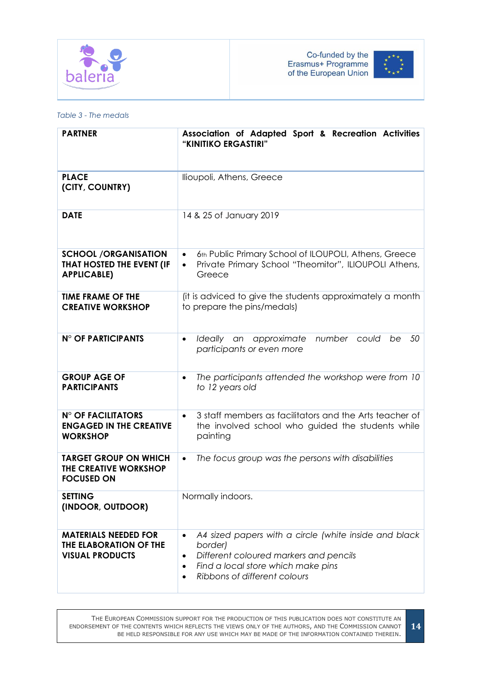



#### <span id="page-13-0"></span>*Table 3 - The medals*

| <b>PARTNER</b>                                                                    | Association of Adapted Sport & Recreation Activities<br>"KINITIKO ERGASTIRI"                                                                                                                                    |  |  |  |  |
|-----------------------------------------------------------------------------------|-----------------------------------------------------------------------------------------------------------------------------------------------------------------------------------------------------------------|--|--|--|--|
| <b>PLACE</b><br>(CITY, COUNTRY)                                                   | Ilioupoli, Athens, Greece                                                                                                                                                                                       |  |  |  |  |
| <b>DATE</b>                                                                       | 14 & 25 of January 2019                                                                                                                                                                                         |  |  |  |  |
| <b>SCHOOL /ORGANISATION</b><br>THAT HOSTED THE EVENT (IF<br><b>APPLICABLE)</b>    | 6th Public Primary School of ILOUPOLI, Athens, Greece<br>$\bullet$<br>Private Primary School "Theomitor", ILIOUPOLI Athens,<br>$\bullet$<br>Greece                                                              |  |  |  |  |
| <b>TIME FRAME OF THE</b><br><b>CREATIVE WORKSHOP</b>                              | (it is adviced to give the students approximately a month<br>to prepare the pins/medals)                                                                                                                        |  |  |  |  |
| <b>N° OF PARTICIPANTS</b>                                                         | Ideally an approximate<br>number<br>50<br>could<br>be<br>$\bullet$<br>participants or even more                                                                                                                 |  |  |  |  |
| <b>GROUP AGE OF</b><br><b>PARTICIPANTS</b>                                        | The participants attended the workshop were from 10<br>$\bullet$<br>to 12 years old                                                                                                                             |  |  |  |  |
| <b>N° OF FACILITATORS</b><br><b>ENGAGED IN THE CREATIVE</b><br><b>WORKSHOP</b>    | 3 staff members as facilitators and the Arts teacher of<br>$\bullet$<br>the involved school who guided the students while<br>painting                                                                           |  |  |  |  |
| <b>TARGET GROUP ON WHICH</b><br><b>THE CREATIVE WORKSHOP</b><br><b>FOCUSED ON</b> | The focus group was the persons with disabilities<br>$\bullet$                                                                                                                                                  |  |  |  |  |
| <b>SETTING</b><br>(INDOOR, OUTDOOR)                                               | Normally indoors.                                                                                                                                                                                               |  |  |  |  |
| <b>MATERIALS NEEDED FOR</b><br>THE ELABORATION OF THE<br><b>VISUAL PRODUCTS</b>   | A4 sized papers with a circle (white inside and black<br>border)<br>Different coloured markers and pencils<br>٠<br>Find a local store which make pins<br>$\bullet$<br>Ribbons of different colours<br>$\bullet$ |  |  |  |  |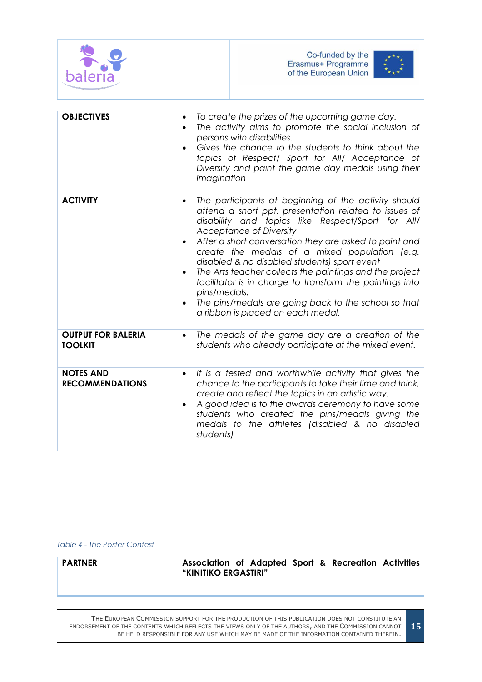



| <b>OBJECTIVES</b>                           | To create the prizes of the upcoming game day.<br>$\bullet$<br>The activity aims to promote the social inclusion of<br>$\bullet$<br>persons with disabilities.<br>Gives the chance to the students to think about the<br>$\bullet$<br>topics of Respect/ Sport for All/ Acceptance of<br>Diversity and paint the game day medals using their<br>imagination                                                                                                                                                                                                                                                                   |
|---------------------------------------------|-------------------------------------------------------------------------------------------------------------------------------------------------------------------------------------------------------------------------------------------------------------------------------------------------------------------------------------------------------------------------------------------------------------------------------------------------------------------------------------------------------------------------------------------------------------------------------------------------------------------------------|
| <b>ACTIVITY</b>                             | The participants at beginning of the activity should<br>$\bullet$<br>attend a short ppt. presentation related to issues of<br>disability and topics like Respect/Sport for All/<br><b>Acceptance of Diversity</b><br>After a short conversation they are asked to paint and<br>$\bullet$<br>create the medals of a mixed population (e.g.<br>disabled & no disabled students) sport event<br>The Arts teacher collects the paintings and the project<br>facilitator is in charge to transform the paintings into<br>pins/medals.<br>The pins/medals are going back to the school so that<br>a ribbon is placed on each medal. |
| <b>OUTPUT FOR BALERIA</b><br><b>TOOLKIT</b> | The medals of the game day are a creation of the<br>$\bullet$<br>students who already participate at the mixed event.                                                                                                                                                                                                                                                                                                                                                                                                                                                                                                         |
| <b>NOTES AND</b><br><b>RECOMMENDATIONS</b>  | It is a tested and worthwhile activity that gives the<br>chance to the participants to take their time and think,<br>create and reflect the topics in an artistic way.<br>A good idea is to the awards ceremony to have some<br>students who created the pins/medals giving the<br>medals to the athletes (disabled & no disabled<br>students)                                                                                                                                                                                                                                                                                |

<span id="page-14-0"></span>*Table 4 - The Poster Contest*

| PARTNER | Association of Adapted Sport & Recreation Activities<br>"KINITIKO ERGASTIRI" |  |  |  |  |  |
|---------|------------------------------------------------------------------------------|--|--|--|--|--|
|---------|------------------------------------------------------------------------------|--|--|--|--|--|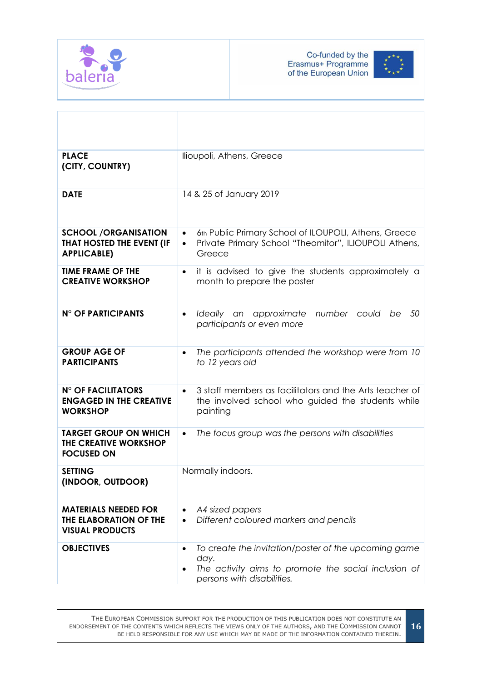



| <b>PLACE</b><br>(CITY, COUNTRY)                                                 | llioupoli, Athens, Greece                                                                                                                          |
|---------------------------------------------------------------------------------|----------------------------------------------------------------------------------------------------------------------------------------------------|
| <b>DATE</b>                                                                     | 14 & 25 of January 2019                                                                                                                            |
| <b>SCHOOL /ORGANISATION</b><br>THAT HOSTED THE EVENT (IF<br><b>APPLICABLE)</b>  | 6th Public Primary School of ILOUPOLI, Athens, Greece<br>$\bullet$<br>Private Primary School "Theomitor", ILIOUPOLI Athens,<br>$\bullet$<br>Greece |
| <b>TIME FRAME OF THE</b><br><b>CREATIVE WORKSHOP</b>                            | it is advised to give the students approximately a<br>month to prepare the poster                                                                  |
| <b>N° OF PARTICIPANTS</b>                                                       | number could<br>50<br>Ideally an<br>approximate<br>be<br>$\bullet$<br>participants or even more                                                    |
| <b>GROUP AGE OF</b><br><b>PARTICIPANTS</b>                                      | The participants attended the workshop were from 10<br>to 12 years old                                                                             |
| <b>N° OF FACILITATORS</b><br><b>ENGAGED IN THE CREATIVE</b><br><b>WORKSHOP</b>  | 3 staff members as facilitators and the Arts teacher of<br>$\bullet$<br>the involved school who guided the students while<br>painting              |
| <b>TARGET GROUP ON WHICH</b><br>THE CREATIVE WORKSHOP<br><b>FOCUSED ON</b>      | The focus group was the persons with disabilities<br>$\bullet$                                                                                     |
| <b>SETTING</b><br>(INDOOR, OUTDOOR)                                             | Normally indoors.                                                                                                                                  |
| <b>MATERIALS NEEDED FOR</b><br>THE ELABORATION OF THE<br><b>VISUAL PRODUCTS</b> | A4 sized papers<br>$\bullet$<br>Different coloured markers and pencils<br>$\bullet$                                                                |
| <b>OBJECTIVES</b>                                                               | To create the invitation/poster of the upcoming game<br>day.<br>The activity aims to promote the social inclusion of<br>persons with disabilities. |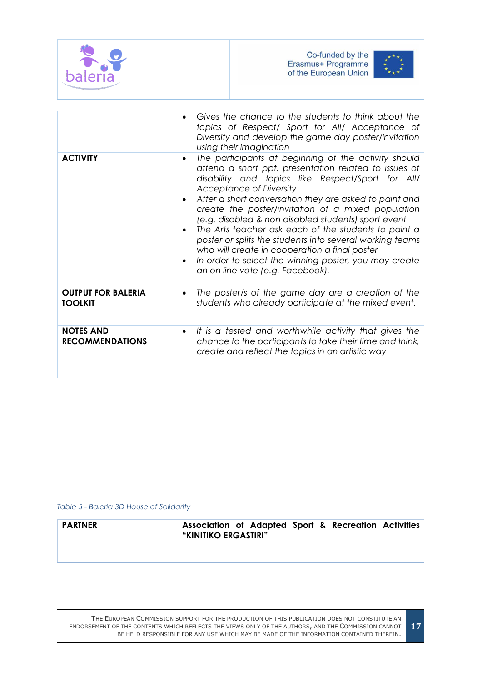



|                                             | Gives the chance to the students to think about the<br>topics of Respect/ Sport for All/ Acceptance of<br>Diversity and develop the game day poster/invitation<br>using their imagination                                                                                                                                                                                                                                                                                                                                                                                                                                                                                     |
|---------------------------------------------|-------------------------------------------------------------------------------------------------------------------------------------------------------------------------------------------------------------------------------------------------------------------------------------------------------------------------------------------------------------------------------------------------------------------------------------------------------------------------------------------------------------------------------------------------------------------------------------------------------------------------------------------------------------------------------|
| <b>ACTIVITY</b>                             | The participants at beginning of the activity should<br>$\bullet$<br>attend a short ppt. presentation related to issues of<br>disability and topics like Respect/Sport for All/<br>Acceptance of Diversity<br>After a short conversation they are asked to paint and<br>$\bullet$<br>create the poster/invitation of a mixed population<br>(e.g. disabled & non disabled students) sport event<br>The Arts teacher ask each of the students to paint a<br>$\bullet$<br>poster or splits the students into several working teams<br>who will create in cooperation a final poster<br>In order to select the winning poster, you may create<br>an on line vote (e.g. Facebook). |
| <b>OUTPUT FOR BALERIA</b><br><b>TOOLKIT</b> | The poster/s of the game day are a creation of the<br>٠<br>students who already participate at the mixed event.                                                                                                                                                                                                                                                                                                                                                                                                                                                                                                                                                               |
| <b>NOTES AND</b><br><b>RECOMMENDATIONS</b>  | It is a tested and worthwhile activity that gives the<br>$\bullet$<br>chance to the participants to take their time and think,<br>create and reflect the topics in an artistic way                                                                                                                                                                                                                                                                                                                                                                                                                                                                                            |

#### <span id="page-16-0"></span>*Table 5 - Baleria 3D House of Solidarity*

| <b>PARTNER</b> | Association of Adapted Sport & Recreation Activities<br>"KINITIKO ERGASTIRI" |  |  |  |  |  |
|----------------|------------------------------------------------------------------------------|--|--|--|--|--|
|----------------|------------------------------------------------------------------------------|--|--|--|--|--|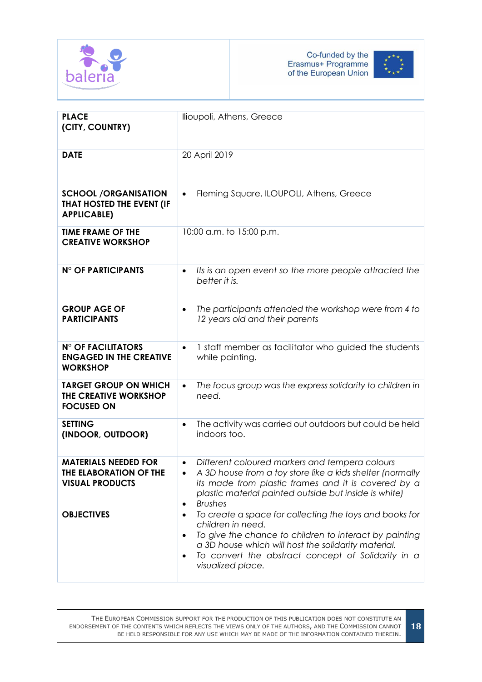



**18**

| <b>PLACE</b><br>(CITY, COUNTRY)                                                 | llioupoli, Athens, Greece                                                                                                                                                                                                                                                             |
|---------------------------------------------------------------------------------|---------------------------------------------------------------------------------------------------------------------------------------------------------------------------------------------------------------------------------------------------------------------------------------|
| <b>DATE</b>                                                                     | 20 April 2019                                                                                                                                                                                                                                                                         |
| <b>SCHOOL /ORGANISATION</b><br>THAT HOSTED THE EVENT (IF<br><b>APPLICABLE)</b>  | Fleming Square, ILOUPOLI, Athens, Greece<br>$\bullet$                                                                                                                                                                                                                                 |
| <b>TIME FRAME OF THE</b><br><b>CREATIVE WORKSHOP</b>                            | 10:00 a.m. to 15:00 p.m.                                                                                                                                                                                                                                                              |
| <b>N° OF PARTICIPANTS</b>                                                       | Its is an open event so the more people attracted the<br>$\bullet$<br>better it is.                                                                                                                                                                                                   |
| <b>GROUP AGE OF</b><br><b>PARTICIPANTS</b>                                      | The participants attended the workshop were from 4 to<br>$\bullet$<br>12 years old and their parents                                                                                                                                                                                  |
| <b>N° OF FACILITATORS</b><br><b>ENGAGED IN THE CREATIVE</b><br><b>WORKSHOP</b>  | 1 staff member as facilitator who guided the students<br>$\bullet$<br>while painting.                                                                                                                                                                                                 |
| <b>TARGET GROUP ON WHICH</b><br>THE CREATIVE WORKSHOP<br><b>FOCUSED ON</b>      | The focus group was the express solidarity to children in<br>need.                                                                                                                                                                                                                    |
| <b>SETTING</b><br>(INDOOR, OUTDOOR)                                             | The activity was carried out outdoors but could be held<br>indoors too.                                                                                                                                                                                                               |
| <b>MATERIALS NEEDED FOR</b><br>THE ELABORATION OF THE<br><b>VISUAL PRODUCTS</b> | Different coloured markers and tempera colours<br>$\bullet$<br>A 3D house from a toy store like a kids shelter (normally<br>its made from plastic frames and it is covered by a<br>plastic material painted outside but inside is white)<br><b>Brushes</b><br>$\bullet$               |
| <b>OBJECTIVES</b>                                                               | To create a space for collecting the toys and books for<br>$\bullet$<br>children in need.<br>To give the chance to children to interact by painting<br>a 3D house which will host the solidarity material.<br>To convert the abstract concept of Solidarity in a<br>visualized place. |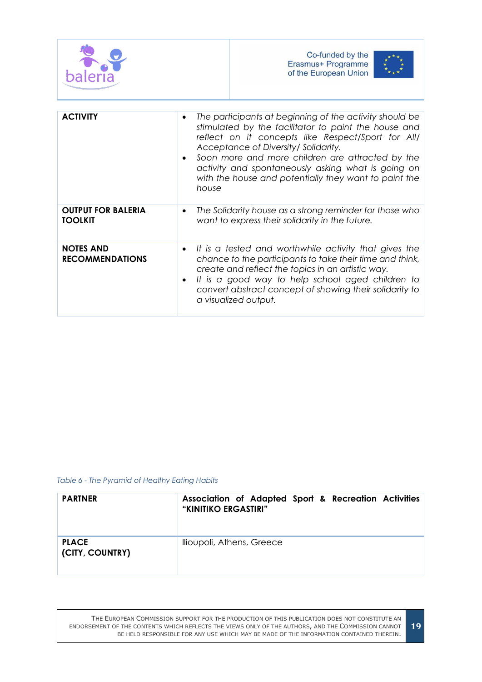

| <b>NOTES AND</b><br><b>RECOMMENDATIONS</b> | • It is a tested and worthwhile activity that gives the<br>chance to the participants to take their time and think,<br>create and reflect the topics in an artistic way.<br>• It is a good way to help school aged children to |
|--------------------------------------------|--------------------------------------------------------------------------------------------------------------------------------------------------------------------------------------------------------------------------------|
|                                            | convert abstract concept of showing their solidarity to<br>a visualized output.                                                                                                                                                |

<span id="page-18-0"></span>*Table 6 - The Pyramid of Healthy Eating Habits*

| <b>PARTNER</b>                  | Association of Adapted Sport & Recreation Activities<br>"KINITIKO ERGASTIRI" |
|---------------------------------|------------------------------------------------------------------------------|
| <b>PLACE</b><br>(CITY, COUNTRY) | Ilioupoli, Athens, Greece                                                    |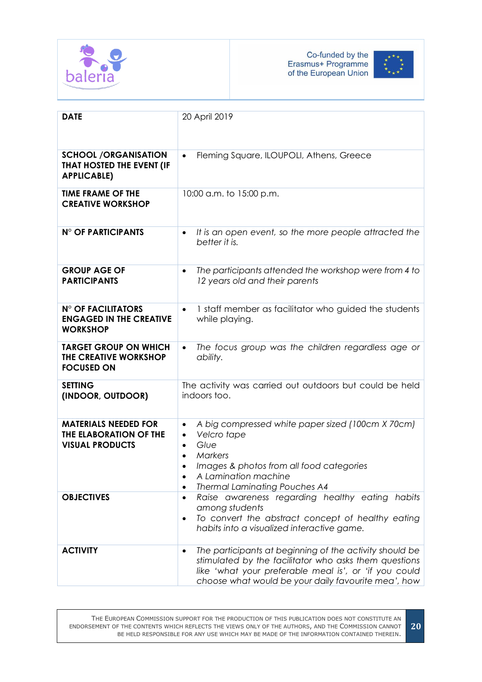



| <b>DATE</b>                                                                     | 20 April 2019                                                                                                                                                                                                                                                   |
|---------------------------------------------------------------------------------|-----------------------------------------------------------------------------------------------------------------------------------------------------------------------------------------------------------------------------------------------------------------|
|                                                                                 |                                                                                                                                                                                                                                                                 |
| <b>SCHOOL /ORGANISATION</b><br>THAT HOSTED THE EVENT (IF<br><b>APPLICABLE)</b>  | Fleming Square, ILOUPOLI, Athens, Greece                                                                                                                                                                                                                        |
| <b>TIME FRAME OF THE</b><br><b>CREATIVE WORKSHOP</b>                            | 10:00 a.m. to 15:00 p.m.                                                                                                                                                                                                                                        |
| <b>N° OF PARTICIPANTS</b>                                                       | It is an open event, so the more people attracted the<br>$\bullet$<br>better it is.                                                                                                                                                                             |
| <b>GROUP AGE OF</b><br><b>PARTICIPANTS</b>                                      | The participants attended the workshop were from 4 to<br>$\bullet$<br>12 years old and their parents                                                                                                                                                            |
| <b>N° OF FACILITATORS</b><br><b>ENGAGED IN THE CREATIVE</b><br><b>WORKSHOP</b>  | 1 staff member as facilitator who guided the students<br>$\bullet$<br>while playing.                                                                                                                                                                            |
| <b>TARGET GROUP ON WHICH</b><br>THE CREATIVE WORKSHOP<br><b>FOCUSED ON</b>      | The focus group was the children regardless age or<br>$\bullet$<br>ability.                                                                                                                                                                                     |
| <b>SETTING</b><br>(INDOOR, OUTDOOR)                                             | The activity was carried out outdoors but could be held<br>indoors too.                                                                                                                                                                                         |
| <b>MATERIALS NEEDED FOR</b><br>THE ELABORATION OF THE<br><b>VISUAL PRODUCTS</b> | A big compressed white paper sized (100cm X 70cm)<br>$\bullet$<br>Velcro tape<br>$\bullet$<br>Glue<br>$\bullet$<br><b>Markers</b><br>$\bullet$<br>Images & photos from all food categories<br>A Lamination machine<br><b>Thermal Laminating Pouches A4</b><br>٠ |
| <b>OBJECTIVES</b>                                                               | Raise awareness regarding healthy eating habits<br>$\bullet$<br>among students<br>To convert the abstract concept of healthy eating<br>$\bullet$<br>habits into a visualized interactive game.                                                                  |
| <b>ACTIVITY</b>                                                                 | The participants at beginning of the activity should be<br>$\bullet$<br>stimulated by the facilitator who asks them questions<br>like 'what your preferable meal is', or 'if you could<br>choose what would be your daily favourite mea', how                   |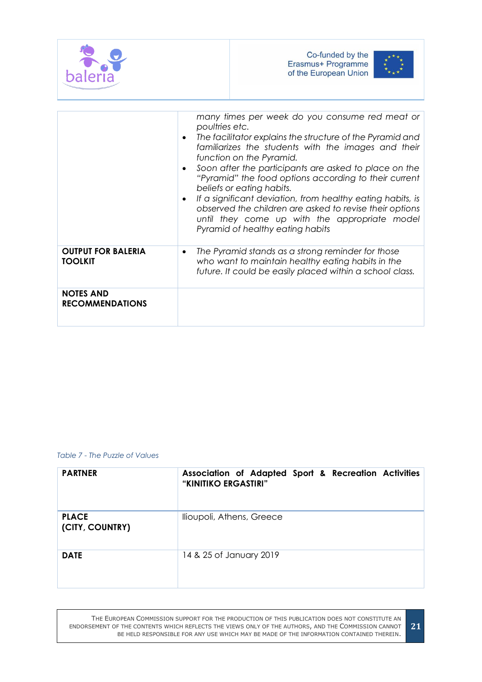

|                                             | many times per week do you consume red meat or<br>poultries etc.<br>The facilitator explains the structure of the Pyramid and<br>$\bullet$<br>familiarizes the students with the images and their<br>function on the Pyramid.<br>Soon after the participants are asked to place on the<br>٠<br>"Pyramid" the food options according to their current<br>beliefs or eating habits.<br>If a significant deviation, from healthy eating habits, is<br>$\bullet$<br>observed the children are asked to revise their options<br>until they come up with the appropriate model<br>Pyramid of healthy eating habits |
|---------------------------------------------|--------------------------------------------------------------------------------------------------------------------------------------------------------------------------------------------------------------------------------------------------------------------------------------------------------------------------------------------------------------------------------------------------------------------------------------------------------------------------------------------------------------------------------------------------------------------------------------------------------------|
| <b>OUTPUT FOR BALERIA</b><br><b>TOOLKIT</b> | The Pyramid stands as a strong reminder for those<br>$\bullet$<br>who want to maintain healthy eating habits in the<br>future. It could be easily placed within a school class.                                                                                                                                                                                                                                                                                                                                                                                                                              |
| <b>NOTES AND</b><br><b>RECOMMENDATIONS</b>  |                                                                                                                                                                                                                                                                                                                                                                                                                                                                                                                                                                                                              |

#### <span id="page-20-0"></span>*Table 7 - The Puzzle of Values*

| <b>PARTNER</b>                  | Association of Adapted Sport & Recreation Activities<br>"KINITIKO ERGASTIRI" |
|---------------------------------|------------------------------------------------------------------------------|
| <b>PLACE</b><br>(CITY, COUNTRY) | llioupoli, Athens, Greece                                                    |
| <b>DATE</b>                     | 14 & 25 of January 2019                                                      |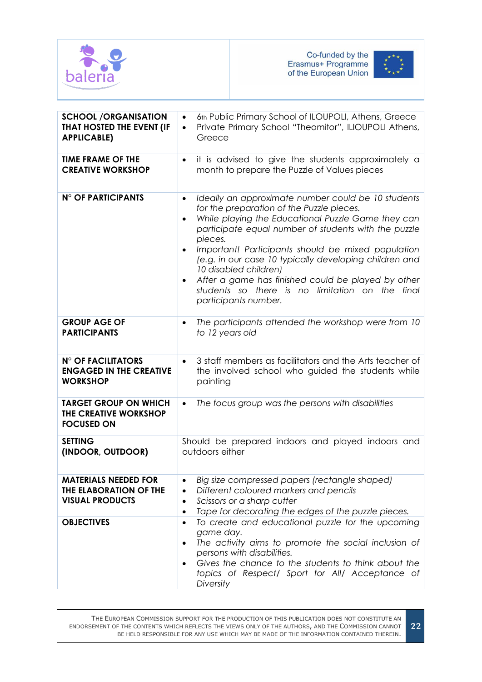



| <b>SCHOOL /ORGANISATION</b><br>THAT HOSTED THE EVENT (IF<br><b>APPLICABLE)</b>  | 6th Public Primary School of ILOUPOLI, Athens, Greece<br>$\bullet$<br>Private Primary School "Theomitor", ILIOUPOLI Athens,<br>$\bullet$<br>Greece                                                                                                                                                                                                                                                                                                                                                                           |
|---------------------------------------------------------------------------------|------------------------------------------------------------------------------------------------------------------------------------------------------------------------------------------------------------------------------------------------------------------------------------------------------------------------------------------------------------------------------------------------------------------------------------------------------------------------------------------------------------------------------|
| <b>TIME FRAME OF THE</b><br><b>CREATIVE WORKSHOP</b>                            | it is advised to give the students approximately a<br>$\bullet$<br>month to prepare the Puzzle of Values pieces                                                                                                                                                                                                                                                                                                                                                                                                              |
| N° OF PARTICIPANTS                                                              | Ideally an approximate number could be 10 students<br>$\bullet$<br>for the preparation of the Puzzle pieces.<br>While playing the Educational Puzzle Game they can<br>$\bullet$<br>participate equal number of students with the puzzle<br>pieces.<br>Important! Participants should be mixed population<br>(e.g. in our case 10 typically developing children and<br>10 disabled children)<br>After a game has finished could be played by other<br>students so there is no limitation on the final<br>participants number. |
| <b>GROUP AGE OF</b><br><b>PARTICIPANTS</b>                                      | The participants attended the workshop were from 10<br>$\bullet$<br>to 12 years old                                                                                                                                                                                                                                                                                                                                                                                                                                          |
| <b>N° OF FACILITATORS</b><br><b>ENGAGED IN THE CREATIVE</b><br><b>WORKSHOP</b>  | 3 staff members as facilitators and the Arts teacher of<br>$\bullet$<br>the involved school who guided the students while<br>painting                                                                                                                                                                                                                                                                                                                                                                                        |
| <b>TARGET GROUP ON WHICH</b><br>THE CREATIVE WORKSHOP<br><b>FOCUSED ON</b>      | The focus group was the persons with disabilities<br>$\bullet$                                                                                                                                                                                                                                                                                                                                                                                                                                                               |
| <b>SETTING</b><br>(INDOOR, OUTDOOR)                                             | Should be prepared indoors and played indoors and<br>outdoors either                                                                                                                                                                                                                                                                                                                                                                                                                                                         |
| <b>MATERIALS NEEDED FOR</b><br>THE ELABORATION OF THE<br><b>VISUAL PRODUCTS</b> | Big size compressed papers (rectangle shaped)<br>٠<br>Different coloured markers and pencils<br>$\bullet$<br>Scissors or a sharp cutter<br>$\bullet$<br>Tape for decorating the edges of the puzzle pieces.<br>$\bullet$                                                                                                                                                                                                                                                                                                     |
| <b>OBJECTIVES</b>                                                               | To create and educational puzzle for the upcoming<br>$\bullet$<br>game day.<br>The activity aims to promote the social inclusion of<br>persons with disabilities.<br>Gives the chance to the students to think about the<br>topics of Respect/ Sport for All/ Acceptance of<br>Diversity                                                                                                                                                                                                                                     |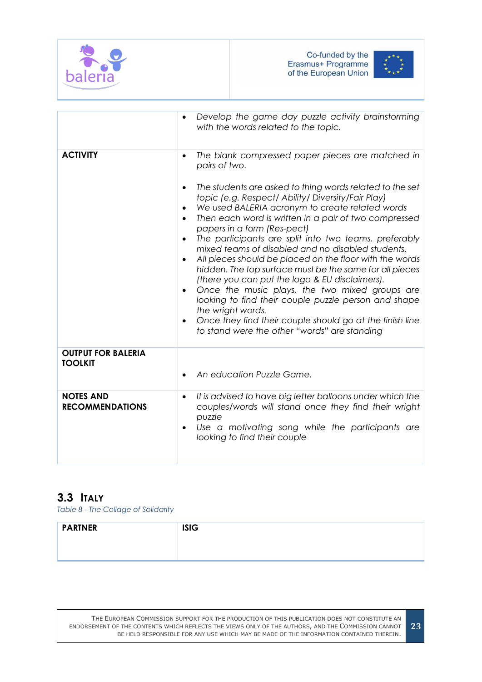



|                                             | Develop the game day puzzle activity brainstorming<br>with the words related to the topic.                                                                                                                                                                                                                                                                                                                                                                                                                                                                                                                                                                                                                                                                                                                                                                                                                                                    |
|---------------------------------------------|-----------------------------------------------------------------------------------------------------------------------------------------------------------------------------------------------------------------------------------------------------------------------------------------------------------------------------------------------------------------------------------------------------------------------------------------------------------------------------------------------------------------------------------------------------------------------------------------------------------------------------------------------------------------------------------------------------------------------------------------------------------------------------------------------------------------------------------------------------------------------------------------------------------------------------------------------|
| <b>ACTIVITY</b>                             | The blank compressed paper pieces are matched in<br>$\bullet$<br>pairs of two.<br>The students are asked to thing words related to the set<br>$\bullet$<br>topic (e.g. Respect/ Ability/ Diversity/Fair Play)<br>We used BALERIA acronym to create related words<br>$\bullet$<br>Then each word is written in a pair of two compressed<br>papers in a form (Res-pect)<br>The participants are split into two teams, preferably<br>$\bullet$<br>mixed teams of disabled and no disabled students.<br>All pieces should be placed on the floor with the words<br>$\bullet$<br>hidden. The top surface must be the same for all pieces<br>(there you can put the logo & EU disclaimers).<br>Once the music plays, the two mixed groups are<br>looking to find their couple puzzle person and shape<br>the wright words.<br>Once they find their couple should go at the finish line<br>$\bullet$<br>to stand were the other "words" are standing |
| <b>OUTPUT FOR BALERIA</b><br><b>TOOLKIT</b> | An education Puzzle Game.                                                                                                                                                                                                                                                                                                                                                                                                                                                                                                                                                                                                                                                                                                                                                                                                                                                                                                                     |
| <b>NOTES AND</b><br><b>RECOMMENDATIONS</b>  | It is advised to have big letter balloons under which the<br>$\bullet$<br>couples/words will stand once they find their wright<br>puzzle<br>Use a motivating song while the participants are<br>looking to find their couple                                                                                                                                                                                                                                                                                                                                                                                                                                                                                                                                                                                                                                                                                                                  |

# <span id="page-22-0"></span>**3.3 ITALY**

<span id="page-22-1"></span>*Table 8 - The Collage of Solidarity*

| <b>PARTNER</b> | <b>ISIG</b> |
|----------------|-------------|
|                |             |
|                |             |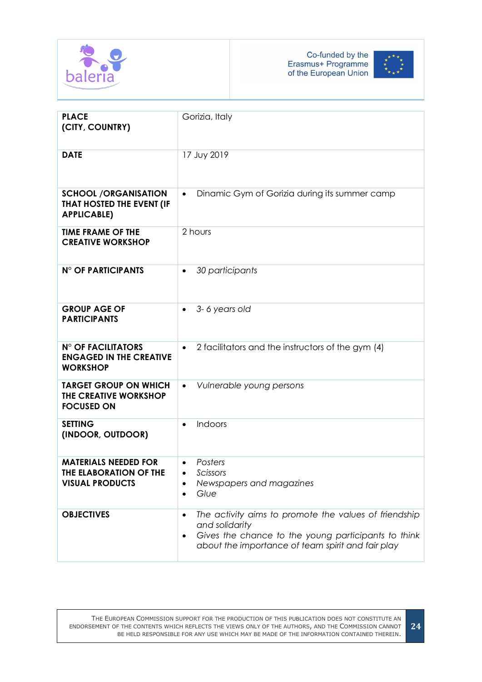



| <b>PLACE</b><br>(CITY, COUNTRY)                                                 | Gorizia, Italy                                                                                                                                                                                   |
|---------------------------------------------------------------------------------|--------------------------------------------------------------------------------------------------------------------------------------------------------------------------------------------------|
| <b>DATE</b>                                                                     | 17 Juy 2019                                                                                                                                                                                      |
| <b>SCHOOL /ORGANISATION</b><br>THAT HOSTED THE EVENT (IF<br><b>APPLICABLE)</b>  | Dinamic Gym of Gorizia during its summer camp<br>$\bullet$                                                                                                                                       |
| <b>TIME FRAME OF THE</b><br><b>CREATIVE WORKSHOP</b>                            | 2 hours                                                                                                                                                                                          |
| N° OF PARTICIPANTS                                                              | 30 participants<br>$\bullet$                                                                                                                                                                     |
| <b>GROUP AGE OF</b><br><b>PARTICIPANTS</b>                                      | 3-6 years old<br>$\bullet$                                                                                                                                                                       |
| <b>N° OF FACILITATORS</b><br><b>ENGAGED IN THE CREATIVE</b><br><b>WORKSHOP</b>  | 2 facilitators and the instructors of the gym (4)<br>$\bullet$                                                                                                                                   |
| <b>TARGET GROUP ON WHICH</b><br>THE CREATIVE WORKSHOP<br><b>FOCUSED ON</b>      | Vulnerable young persons<br>$\bullet$                                                                                                                                                            |
| <b>SETTING</b><br>(INDOOR, OUTDOOR)                                             | Indoors<br>$\bullet$                                                                                                                                                                             |
| <b>MATERIALS NEEDED FOR</b><br>THE ELABORATION OF THE<br><b>VISUAL PRODUCTS</b> | Posters<br>Scissors<br>$\bullet$<br>Newspapers and magazines<br>Glue<br>$\bullet$                                                                                                                |
| <b>OBJECTIVES</b>                                                               | The activity aims to promote the values of friendship<br>$\bullet$<br>and solidarity<br>Gives the chance to the young participants to think<br>about the importance of team spirit and fair play |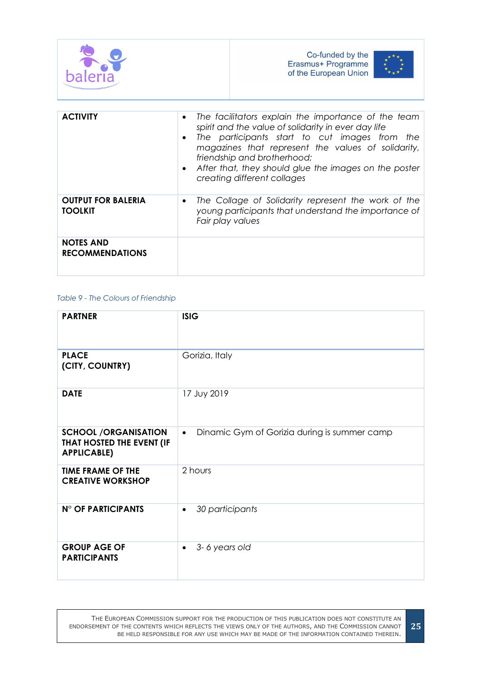



| <b>ACTIVITY</b>                             | The facilitators explain the importance of the team<br>$\bullet$<br>spirit and the value of solidarity in ever day life<br>The participants start to cut images from the<br>$\bullet$<br>magazines that represent the values of solidarity,<br>friendship and brotherhood;<br>After that, they should glue the images on the poster<br>$\bullet$<br>creating different collages |
|---------------------------------------------|---------------------------------------------------------------------------------------------------------------------------------------------------------------------------------------------------------------------------------------------------------------------------------------------------------------------------------------------------------------------------------|
| <b>OUTPUT FOR BALERIA</b><br><b>TOOLKIT</b> | The Collage of Solidarity represent the work of the<br>$\bullet$<br>young participants that understand the importance of<br>Fair play values                                                                                                                                                                                                                                    |
| <b>NOTES AND</b><br><b>RECOMMENDATIONS</b>  |                                                                                                                                                                                                                                                                                                                                                                                 |

#### <span id="page-24-0"></span>*Table 9 - The Colours of Friendship*

| <b>PARTNER</b>                                                                 | <b>ISIG</b>                                               |
|--------------------------------------------------------------------------------|-----------------------------------------------------------|
| <b>PLACE</b><br>(CITY, COUNTRY)                                                | Gorizia, Italy                                            |
| <b>DATE</b>                                                                    | 17 Juy 2019                                               |
| <b>SCHOOL /ORGANISATION</b><br>THAT HOSTED THE EVENT (IF<br><b>APPLICABLE)</b> | Dinamic Gym of Gorizia during is summer camp<br>$\bullet$ |
| <b>TIME FRAME OF THE</b><br><b>CREATIVE WORKSHOP</b>                           | 2 hours                                                   |
| N° OF PARTICIPANTS                                                             | 30 participants<br>$\bullet$                              |
| <b>GROUP AGE OF</b><br><b>PARTICIPANTS</b>                                     | 3-6 years old<br>$\bullet$                                |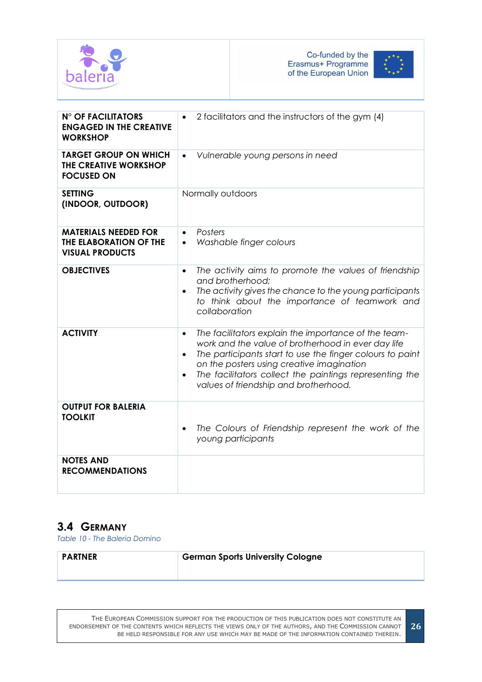



| <b>N° OF FACILITATORS</b><br><b>ENGAGED IN THE CREATIVE</b><br><b>WORKSHOP</b>  | 2 facilitators and the instructors of the gym (4)                                                                                                                                                                                                                                                                                                               |
|---------------------------------------------------------------------------------|-----------------------------------------------------------------------------------------------------------------------------------------------------------------------------------------------------------------------------------------------------------------------------------------------------------------------------------------------------------------|
| <b>TARGET GROUP ON WHICH</b><br>THE CREATIVE WORKSHOP<br><b>FOCUSED ON</b>      | Vulnerable young persons in need<br>$\bullet$                                                                                                                                                                                                                                                                                                                   |
| <b>SETTING</b><br>(INDOOR, OUTDOOR)                                             | Normally outdoors                                                                                                                                                                                                                                                                                                                                               |
| <b>MATERIALS NEEDED FOR</b><br>THE ELABORATION OF THE<br><b>VISUAL PRODUCTS</b> | Posters<br>$\bullet$<br>Washable finger colours<br>$\bullet$                                                                                                                                                                                                                                                                                                    |
| <b>OBJECTIVES</b>                                                               | The activity aims to promote the values of friendship<br>$\bullet$<br>and brotherhood:<br>The activity gives the chance to the young participants<br>$\bullet$<br>to think about the importance of teamwork and<br>collaboration                                                                                                                                |
| <b>ACTIVITY</b>                                                                 | The facilitators explain the importance of the team-<br>$\bullet$<br>work and the value of brotherhood in ever day life<br>The participants start to use the finger colours to paint<br>$\bullet$<br>on the posters using creative imagination<br>The facilitators collect the paintings representing the<br>$\bullet$<br>values of friendship and brotherhood. |
| <b>OUTPUT FOR BALERIA</b><br><b>TOOLKIT</b>                                     | The Colours of Friendship represent the work of the<br>$\bullet$<br>young participants                                                                                                                                                                                                                                                                          |
| <b>NOTES AND</b><br><b>RECOMMENDATIONS</b>                                      |                                                                                                                                                                                                                                                                                                                                                                 |

# <span id="page-25-0"></span>**3.4 GERMANY**

<span id="page-25-1"></span>*Table 10 - The Baleria Domino*

| <b>PARTNER</b> | <b>German Sports University Cologne</b> |
|----------------|-----------------------------------------|
|                |                                         |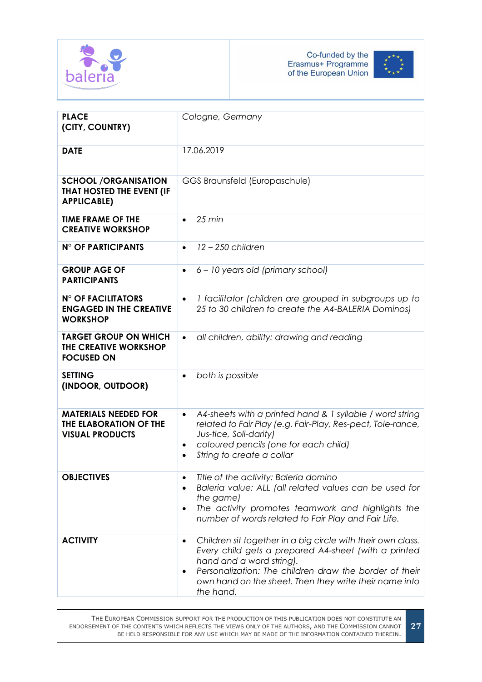



| <b>PLACE</b><br>(CITY, COUNTRY)                                                 | Cologne, Germany                                                                                                                                                                                                                                                                 |
|---------------------------------------------------------------------------------|----------------------------------------------------------------------------------------------------------------------------------------------------------------------------------------------------------------------------------------------------------------------------------|
| <b>DATE</b>                                                                     | 17.06.2019                                                                                                                                                                                                                                                                       |
| <b>SCHOOL /ORGANISATION</b><br>THAT HOSTED THE EVENT (IF<br><b>APPLICABLE)</b>  | GGS Braunsfeld (Europaschule)                                                                                                                                                                                                                                                    |
| <b>TIME FRAME OF THE</b><br><b>CREATIVE WORKSHOP</b>                            | $25 \text{ min}$<br>$\bullet$                                                                                                                                                                                                                                                    |
| N° OF PARTICIPANTS                                                              | $12 - 250$ children<br>$\bullet$                                                                                                                                                                                                                                                 |
| <b>GROUP AGE OF</b><br><b>PARTICIPANTS</b>                                      | 6 - 10 years old (primary school)<br>$\bullet$                                                                                                                                                                                                                                   |
| <b>N° OF FACILITATORS</b><br><b>ENGAGED IN THE CREATIVE</b><br><b>WORKSHOP</b>  | I facilitator (children are grouped in subgroups up to<br>$\bullet$<br>25 to 30 children to create the A4-BALERIA Dominos)                                                                                                                                                       |
| <b>TARGET GROUP ON WHICH</b><br>THE CREATIVE WORKSHOP<br><b>FOCUSED ON</b>      | all children, ability: drawing and reading<br>$\bullet$                                                                                                                                                                                                                          |
| <b>SETTING</b><br>(INDOOR, OUTDOOR)                                             | both is possible                                                                                                                                                                                                                                                                 |
| <b>MATERIALS NEEDED FOR</b><br>THE ELABORATION OF THE<br><b>VISUAL PRODUCTS</b> | A4-sheets with a printed hand & 1 syllable / word string<br>$\bullet$<br>related to Fair Play (e.g. Fair-Play, Res-pect, Tole-rance,<br>Jus-tice, Soli-darity)<br>coloured pencils (one for each child)<br>$\bullet$<br>String to create a collar                                |
| <b>OBJECTIVES</b>                                                               | Title of the activity: Baleria domino<br>Baleria value: ALL (all related values can be used for<br>the game)<br>The activity promotes teamwork and highlights the<br>$\bullet$<br>number of words related to Fair Play and Fair Life.                                            |
| <b>ACTIVITY</b>                                                                 | Children sit together in a big circle with their own class.<br>Every child gets a prepared A4-sheet (with a printed<br>hand and a word string).<br>Personalization: The children draw the border of their<br>own hand on the sheet. Then they write their name into<br>the hand. |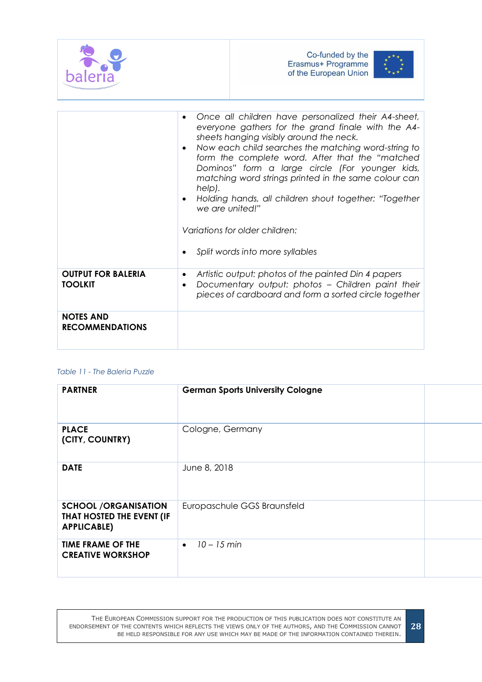



**28**

|                                             | Once all children have personalized their A4-sheet,<br>everyone gathers for the grand finale with the A4-<br>sheets hanging visibly around the neck.<br>Now each child searches the matching word-string to<br>form the complete word. After that the "matched<br>Dominos" form a large circle (For younger kids,<br>matching word strings printed in the same colour can<br>help).<br>Holding hands, all children shout together: "Together<br>we are united!"<br>Variations for older children:<br>Split words into more syllables |
|---------------------------------------------|--------------------------------------------------------------------------------------------------------------------------------------------------------------------------------------------------------------------------------------------------------------------------------------------------------------------------------------------------------------------------------------------------------------------------------------------------------------------------------------------------------------------------------------|
| <b>OUTPUT FOR BALERIA</b><br><b>TOOLKIT</b> | Artistic output: photos of the painted Din 4 papers<br>$\bullet$<br>Documentary output: photos - Children paint their<br>$\bullet$<br>pieces of cardboard and form a sorted circle together                                                                                                                                                                                                                                                                                                                                          |
| <b>NOTES AND</b><br><b>RECOMMENDATIONS</b>  |                                                                                                                                                                                                                                                                                                                                                                                                                                                                                                                                      |

#### <span id="page-27-0"></span>*Table 11 - The Baleria Puzzle*

| <b>PARTNER</b>                                                                 | <b>German Sports University Cologne</b> |  |
|--------------------------------------------------------------------------------|-----------------------------------------|--|
| <b>PLACE</b><br>(CITY, COUNTRY)                                                | Cologne, Germany                        |  |
| <b>DATE</b>                                                                    | June 8, 2018                            |  |
| <b>SCHOOL /ORGANISATION</b><br>THAT HOSTED THE EVENT (IF<br><b>APPLICABLE)</b> | Europaschule GGS Braunsfeld             |  |
| <b>TIME FRAME OF THE</b><br><b>CREATIVE WORKSHOP</b>                           | 10 – 15 min<br>$\bullet$                |  |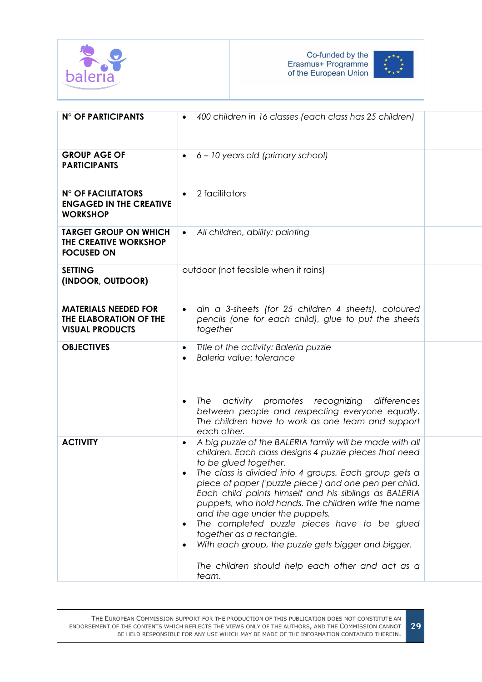



| N° OF PARTICIPANTS                                                              | 400 children in 16 classes (each class has 25 children)<br>$\bullet$                                                                                                                                                                                                                                                                                                                                                                                                                                                                                                                                                                                     |  |
|---------------------------------------------------------------------------------|----------------------------------------------------------------------------------------------------------------------------------------------------------------------------------------------------------------------------------------------------------------------------------------------------------------------------------------------------------------------------------------------------------------------------------------------------------------------------------------------------------------------------------------------------------------------------------------------------------------------------------------------------------|--|
| <b>GROUP AGE OF</b><br><b>PARTICIPANTS</b>                                      | 6 - 10 years old (primary school)<br>$\bullet$                                                                                                                                                                                                                                                                                                                                                                                                                                                                                                                                                                                                           |  |
| <b>N° OF FACILITATORS</b><br><b>ENGAGED IN THE CREATIVE</b><br><b>WORKSHOP</b>  | 2 facilitators<br>$\bullet$                                                                                                                                                                                                                                                                                                                                                                                                                                                                                                                                                                                                                              |  |
| <b>TARGET GROUP ON WHICH</b><br>THE CREATIVE WORKSHOP<br><b>FOCUSED ON</b>      | All children, ability: painting<br>$\bullet$                                                                                                                                                                                                                                                                                                                                                                                                                                                                                                                                                                                                             |  |
| <b>SETTING</b><br>(INDOOR, OUTDOOR)                                             | outdoor (not feasible when it rains)                                                                                                                                                                                                                                                                                                                                                                                                                                                                                                                                                                                                                     |  |
| <b>MATERIALS NEEDED FOR</b><br>THE ELABORATION OF THE<br><b>VISUAL PRODUCTS</b> | din a 3-sheets (for 25 children 4 sheets), coloured<br>$\bullet$<br>pencils (one for each child), glue to put the sheets<br>together                                                                                                                                                                                                                                                                                                                                                                                                                                                                                                                     |  |
| <b>OBJECTIVES</b>                                                               | Title of the activity: Baleria puzzle<br>$\bullet$<br>Baleria value: tolerance<br>$\bullet$<br>promotes recognizing<br>The<br>activity<br>differences<br>$\bullet$<br>between people and respecting everyone equally.<br>The children have to work as one team and support<br>each other.                                                                                                                                                                                                                                                                                                                                                                |  |
| <b>ACTIVITY</b>                                                                 | A big puzzle of the BALERIA family will be made with all<br>$\bullet$<br>children. Each class designs 4 puzzle pieces that need<br>to be glued together.<br>The class is divided into 4 groups. Each group gets a<br>piece of paper ('puzzle piece') and one pen per child.<br>Each child paints himself and his siblings as BALERIA<br>puppets, who hold hands. The children write the name<br>and the age under the puppets.<br>The completed puzzle pieces have to be glued<br>$\bullet$<br>together as a rectangle.<br>With each group, the puzzle gets bigger and bigger.<br>$\bullet$<br>The children should help each other and act as a<br>team. |  |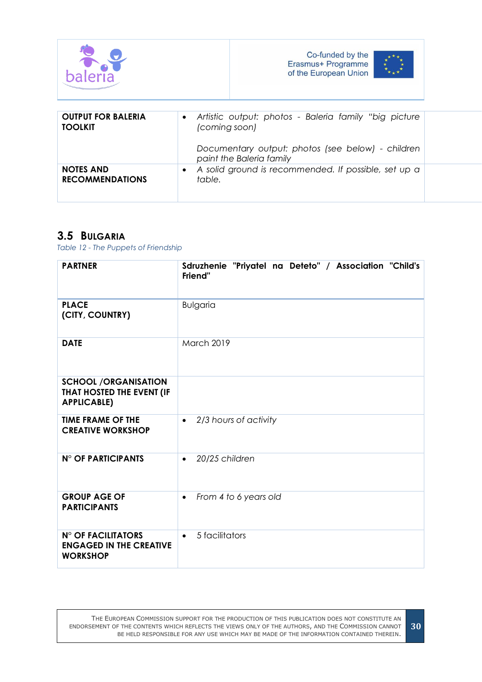|                                             |                            | Co-funded by the<br>Erasmus+ Programme<br>of the European Union                                                                        |  |
|---------------------------------------------|----------------------------|----------------------------------------------------------------------------------------------------------------------------------------|--|
| <b>OUTPUT FOR BALERIA</b><br><b>TOOLKIT</b> | $\bullet$<br>(coming soon) | Artistic output: photos - Baleria family "big picture<br>Documentary output: photos (see below) - children<br>paint the Baleria family |  |
| <b>NOTES AND</b><br><b>RECOMMENDATIONS</b>  | $\bullet$<br>table.        | A solid ground is recommended. If possible, set up a                                                                                   |  |

## <span id="page-29-0"></span>**3.5 BULGARIA**

<span id="page-29-1"></span>*Table 12 - The Puppets of Friendship*

| <b>PARTNER</b>                                                                 | Sdruzhenie "Priyatel na Deteto" / Association "Child's<br>Friend" |
|--------------------------------------------------------------------------------|-------------------------------------------------------------------|
| <b>PLACE</b><br>(CITY, COUNTRY)                                                | <b>Bulgaria</b>                                                   |
| <b>DATE</b>                                                                    | <b>March 2019</b>                                                 |
| <b>SCHOOL /ORGANISATION</b><br>THAT HOSTED THE EVENT (IF<br><b>APPLICABLE)</b> |                                                                   |
| <b>TIME FRAME OF THE</b><br><b>CREATIVE WORKSHOP</b>                           | 2/3 hours of activity<br>$\bullet$                                |
| <b>N° OF PARTICIPANTS</b>                                                      | 20/25 children<br>$\bullet$                                       |
| <b>GROUP AGE OF</b><br><b>PARTICIPANTS</b>                                     | From 4 to 6 years old<br>$\bullet$                                |
| N° OF FACILITATORS<br><b>ENGAGED IN THE CREATIVE</b><br><b>WORKSHOP</b>        | 5 facilitators<br>$\bullet$                                       |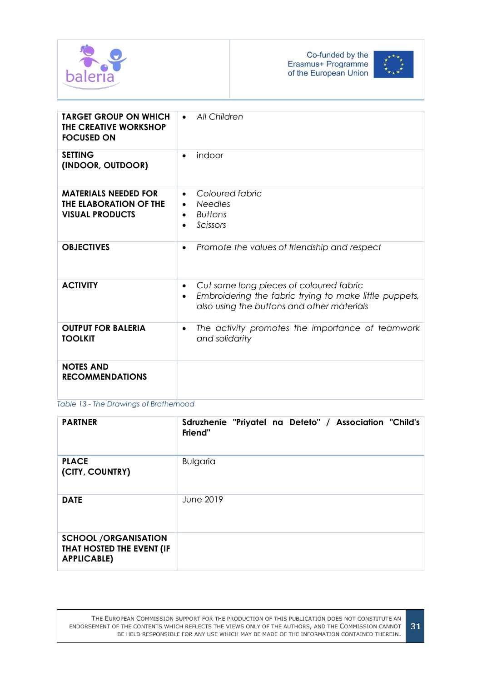



| <b>TARGET GROUP ON WHICH</b><br>THE CREATIVE WORKSHOP<br><b>FOCUSED ON</b>      | All Children<br>$\bullet$                                                                                                                                                 |
|---------------------------------------------------------------------------------|---------------------------------------------------------------------------------------------------------------------------------------------------------------------------|
| <b>SETTING</b><br>(INDOOR, OUTDOOR)                                             | indoor<br>$\bullet$                                                                                                                                                       |
| <b>MATERIALS NEEDED FOR</b><br>THE ELABORATION OF THE<br><b>VISUAL PRODUCTS</b> | Coloured fabric<br>$\bullet$<br><b>Needles</b><br>$\bullet$<br><b>Buttons</b><br>$\bullet$<br>Scissors<br>$\bullet$                                                       |
| <b>OBJECTIVES</b>                                                               | Promote the values of friendship and respect<br>$\bullet$                                                                                                                 |
| <b>ACTIVITY</b>                                                                 | Cut some long pieces of coloured fabric<br>$\bullet$<br>Embroidering the fabric trying to make little puppets,<br>$\bullet$<br>also using the buttons and other materials |
| <b>OUTPUT FOR BALERIA</b><br><b>TOOLKIT</b>                                     | The activity promotes the importance of teamwork<br>$\bullet$<br>and solidarity                                                                                           |
| <b>NOTES AND</b><br><b>RECOMMENDATIONS</b>                                      |                                                                                                                                                                           |

<span id="page-30-0"></span>*Table 13 - The Drawings of Brotherhood*

| <b>PARTNER</b>                                                                 | Sdruzhenie "Priyatel na Deteto" / Association "Child's<br>Friend" |
|--------------------------------------------------------------------------------|-------------------------------------------------------------------|
| <b>PLACE</b><br>(CITY, COUNTRY)                                                | <b>Bulgaria</b>                                                   |
| <b>DATE</b>                                                                    | June 2019                                                         |
| <b>SCHOOL /ORGANISATION</b><br>THAT HOSTED THE EVENT (IF<br><b>APPLICABLE)</b> |                                                                   |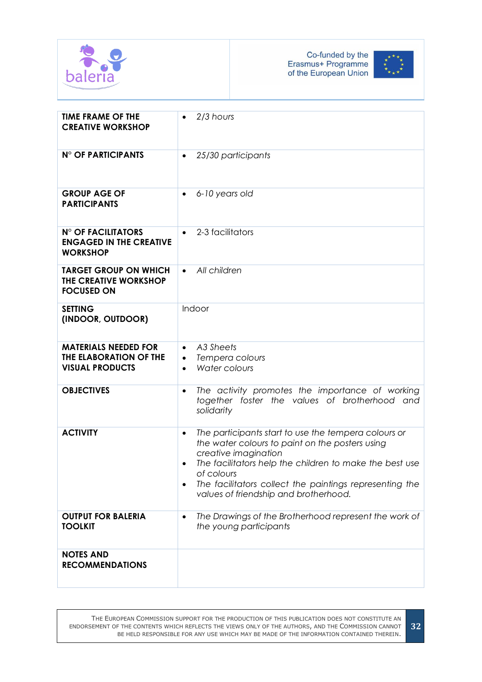



| <b>TIME FRAME OF THE</b><br><b>CREATIVE WORKSHOP</b>                            | 2/3 hours<br>$\bullet$                                                                                                                                                                                                                                                                                                                 |
|---------------------------------------------------------------------------------|----------------------------------------------------------------------------------------------------------------------------------------------------------------------------------------------------------------------------------------------------------------------------------------------------------------------------------------|
| <b>N° OF PARTICIPANTS</b>                                                       | 25/30 participants<br>$\bullet$                                                                                                                                                                                                                                                                                                        |
| <b>GROUP AGE OF</b><br><b>PARTICIPANTS</b>                                      | 6-10 years old                                                                                                                                                                                                                                                                                                                         |
| <b>N° OF FACILITATORS</b><br><b>ENGAGED IN THE CREATIVE</b><br><b>WORKSHOP</b>  | 2-3 facilitators<br>$\bullet$                                                                                                                                                                                                                                                                                                          |
| <b>TARGET GROUP ON WHICH</b><br>THE CREATIVE WORKSHOP<br><b>FOCUSED ON</b>      | All children<br>$\bullet$                                                                                                                                                                                                                                                                                                              |
| <b>SETTING</b><br>(INDOOR, OUTDOOR)                                             | Indoor                                                                                                                                                                                                                                                                                                                                 |
| <b>MATERIALS NEEDED FOR</b><br>THE ELABORATION OF THE<br><b>VISUAL PRODUCTS</b> | A3 Sheets<br>$\bullet$<br>Tempera colours<br>$\bullet$<br>Water colours<br>$\bullet$                                                                                                                                                                                                                                                   |
| <b>OBJECTIVES</b>                                                               | The activity promotes the importance of working<br>$\bullet$<br>together foster the values of brotherhood and<br>solidarity                                                                                                                                                                                                            |
| <b>ACTIVITY</b>                                                                 | The participants start to use the tempera colours or<br>$\bullet$<br>the water colours to paint on the posters using<br>creative imagination<br>The facilitators help the children to make the best use<br>of colours<br>The facilitators collect the paintings representing the<br>$\bullet$<br>values of friendship and brotherhood. |
| <b>OUTPUT FOR BALERIA</b><br><b>TOOLKIT</b>                                     | The Drawings of the Brotherhood represent the work of<br>$\bullet$<br>the young participants                                                                                                                                                                                                                                           |
| <b>NOTES AND</b><br><b>RECOMMENDATIONS</b>                                      |                                                                                                                                                                                                                                                                                                                                        |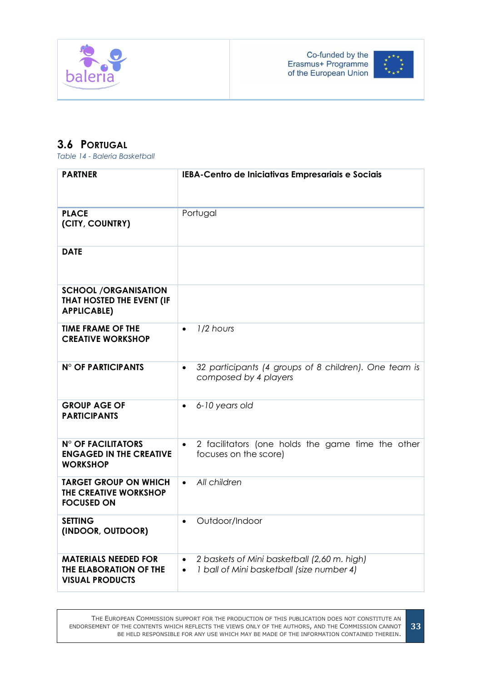



## <span id="page-32-0"></span>**3.6 PORTUGAL**

<span id="page-32-1"></span>*Table 14 - Baleria Basketball*

| <b>PARTNER</b>                                                                  | IEBA-Centro de Iniciativas Empresariais e Sociais                                                                  |
|---------------------------------------------------------------------------------|--------------------------------------------------------------------------------------------------------------------|
| <b>PLACE</b><br>(CITY, COUNTRY)                                                 | Portugal                                                                                                           |
| <b>DATE</b>                                                                     |                                                                                                                    |
| <b>SCHOOL /ORGANISATION</b><br>THAT HOSTED THE EVENT (IF<br><b>APPLICABLE)</b>  |                                                                                                                    |
| <b>TIME FRAME OF THE</b><br><b>CREATIVE WORKSHOP</b>                            | 1/2 hours<br>$\bullet$                                                                                             |
| <b>N° OF PARTICIPANTS</b>                                                       | 32 participants (4 groups of 8 children). One team is<br>$\bullet$<br>composed by 4 players                        |
| <b>GROUP AGE OF</b><br><b>PARTICIPANTS</b>                                      | 6-10 years old<br>$\bullet$                                                                                        |
| <b>N° OF FACILITATORS</b><br><b>ENGAGED IN THE CREATIVE</b><br><b>WORKSHOP</b>  | 2 facilitators (one holds the game time the other<br>focuses on the score)                                         |
| <b>TARGET GROUP ON WHICH</b><br>THE CREATIVE WORKSHOP<br><b>FOCUSED ON</b>      | All children<br>$\bullet$                                                                                          |
| <b>SETTING</b><br>(INDOOR, OUTDOOR)                                             | Outdoor/Indoor<br>$\bullet$                                                                                        |
| <b>MATERIALS NEEDED FOR</b><br>THE ELABORATION OF THE<br><b>VISUAL PRODUCTS</b> | 2 baskets of Mini basketball (2,60 m. high)<br>$\bullet$<br>1 ball of Mini basketball (size number 4)<br>$\bullet$ |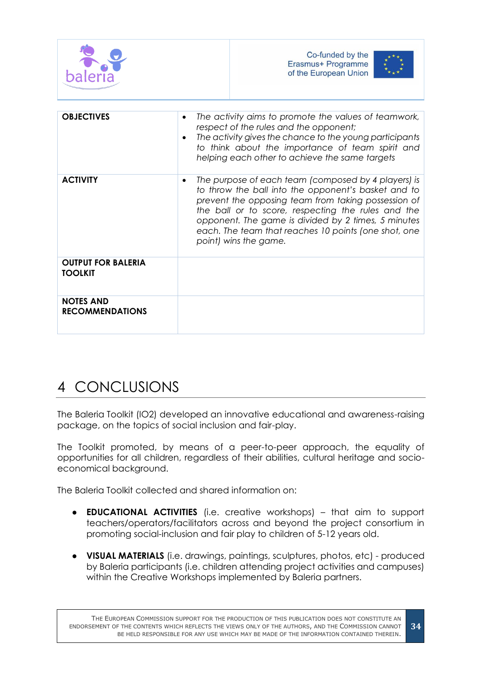

| <b>OBJECTIVES</b>                           | The activity aims to promote the values of teamwork,<br>$\bullet$<br>respect of the rules and the opponent;<br>The activity gives the chance to the young participants<br>to think about the importance of team spirit and<br>helping each other to achieve the same targets                                                                                         |
|---------------------------------------------|----------------------------------------------------------------------------------------------------------------------------------------------------------------------------------------------------------------------------------------------------------------------------------------------------------------------------------------------------------------------|
| <b>ACTIVITY</b>                             | The purpose of each team (composed by 4 players) is<br>٠<br>to throw the ball into the opponent's basket and to<br>prevent the opposing team from taking possession of<br>the ball or to score, respecting the rules and the<br>opponent. The game is divided by 2 times, 5 minutes<br>each. The team that reaches 10 points (one shot, one<br>point) wins the game. |
| <b>OUTPUT FOR BALERIA</b><br><b>TOOLKIT</b> |                                                                                                                                                                                                                                                                                                                                                                      |
| <b>NOTES AND</b><br><b>RECOMMENDATIONS</b>  |                                                                                                                                                                                                                                                                                                                                                                      |

# <span id="page-33-0"></span>4 CONCLUSIONS

The Baleria Toolkit (IO2) developed an innovative educational and awareness-raising package, on the topics of social inclusion and fair-play.

The Toolkit promoted, by means of a peer-to-peer approach, the equality of opportunities for all children, regardless of their abilities, cultural heritage and socioeconomical background.

The Baleria Toolkit collected and shared information on:

- **EDUCATIONAL ACTIVITIES** (i.e. creative workshops) that aim to support teachers/operators/facilitators across and beyond the project consortium in promoting social-inclusion and fair play to children of 5-12 years old.
- **VISUAL MATERIALS** (i.e. drawings, paintings, sculptures, photos, etc) produced by Baleria participants (i.e. children attending project activities and campuses) within the Creative Workshops implemented by Baleria partners.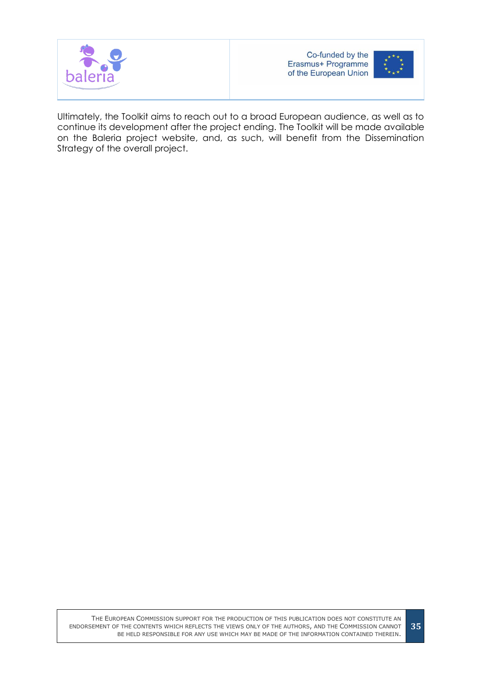



Ultimately, the Toolkit aims to reach out to a broad European audience, as well as to continue its development after the project ending. The Toolkit will be made available on the Baleria project website, and, as such, will benefit from the Dissemination Strategy of the overall project.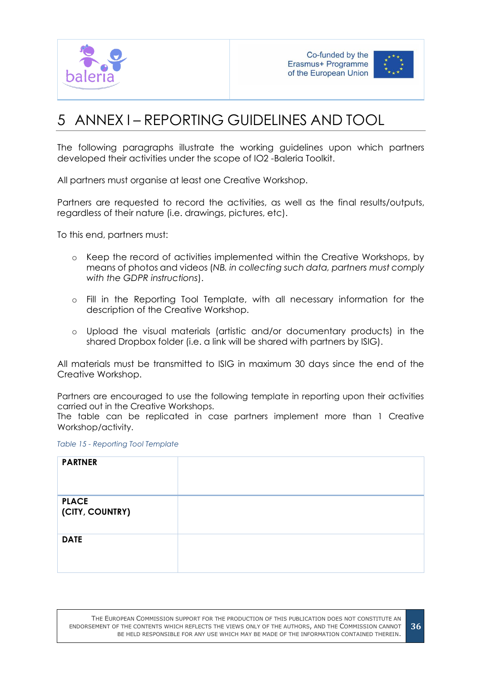



# <span id="page-35-0"></span>5 ANNEX I – REPORTING GUIDELINES AND TOOL

The following paragraphs illustrate the working guidelines upon which partners developed their activities under the scope of IO2 -Baleria Toolkit.

All partners must organise at least one Creative Workshop.

Partners are requested to record the activities, as well as the final results/outputs, regardless of their nature (i.e. drawings, pictures, etc).

To this end, partners must:

- o Keep the record of activities implemented within the Creative Workshops, by means of photos and videos (*NB. in collecting such data, partners must comply with the GDPR instructions*).
- o Fill in the Reporting Tool Template, with all necessary information for the description of the Creative Workshop.
- o Upload the visual materials (artistic and/or documentary products) in the shared Dropbox folder (i.e. a link will be shared with partners by ISIG).

All materials must be transmitted to ISIG in maximum 30 days since the end of the Creative Workshop.

Partners are encouraged to use the following template in reporting upon their activities carried out in the Creative Workshops.

The table can be replicated in case partners implement more than 1 Creative Workshop/activity.

<span id="page-35-1"></span>*Table 15 - Reporting Tool Template*

| <b>PARTNER</b>                  |  |
|---------------------------------|--|
| <b>PLACE</b><br>(CITY, COUNTRY) |  |
| <b>DATE</b>                     |  |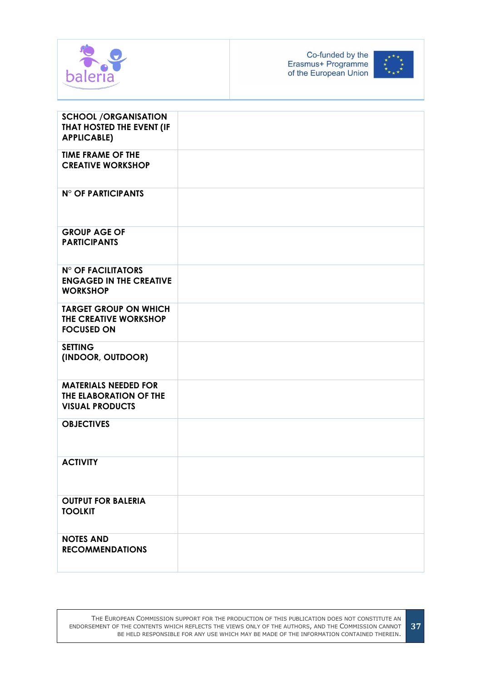



| <b>SCHOOL /ORGANISATION</b><br>THAT HOSTED THE EVENT (IF<br><b>APPLICABLE)</b>  |  |
|---------------------------------------------------------------------------------|--|
| <b>TIME FRAME OF THE</b><br><b>CREATIVE WORKSHOP</b>                            |  |
| N° OF PARTICIPANTS                                                              |  |
| <b>GROUP AGE OF</b><br><b>PARTICIPANTS</b>                                      |  |
| <b>N° OF FACILITATORS</b><br><b>ENGAGED IN THE CREATIVE</b><br><b>WORKSHOP</b>  |  |
| <b>TARGET GROUP ON WHICH</b><br>THE CREATIVE WORKSHOP<br><b>FOCUSED ON</b>      |  |
| <b>SETTING</b><br>(INDOOR, OUTDOOR)                                             |  |
| <b>MATERIALS NEEDED FOR</b><br>THE ELABORATION OF THE<br><b>VISUAL PRODUCTS</b> |  |
| <b>OBJECTIVES</b>                                                               |  |
| <b>ACTIVITY</b>                                                                 |  |
| <b>OUTPUT FOR BALERIA</b><br><b>TOOLKIT</b>                                     |  |
| <b>NOTES AND</b><br><b>RECOMMENDATIONS</b>                                      |  |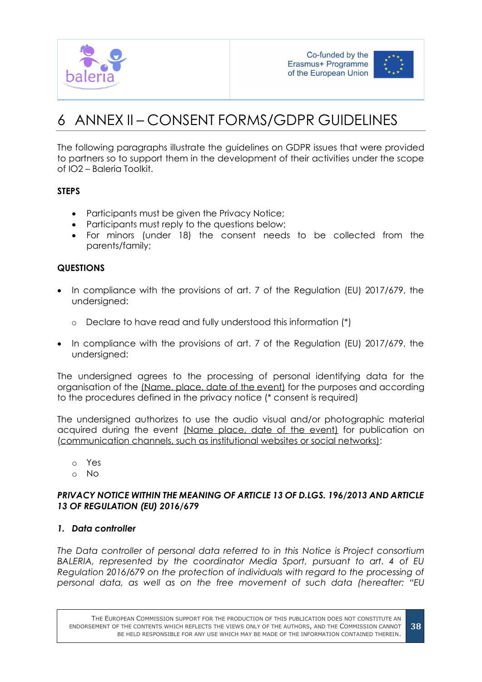



# <span id="page-37-0"></span>6 ANNEX II – CONSENT FORMS/GDPR GUIDELINES

The following paragraphs illustrate the guidelines on GDPR issues that were provided to partners so to support them in the development of their activities under the scope of IO2 – Baleria Toolkit.

## **STEPS**

- Participants must be given the Privacy Notice;
- Participants must reply to the questions below;
- For minors (under 18) the consent needs to be collected from the parents/family;

## **QUESTIONS**

- In compliance with the provisions of art. 7 of the Regulation (EU) 2017/679, the undersigned:
	- o Declare to have read and fully understood this information (\*)
- In compliance with the provisions of art. 7 of the Regulation (EU) 2017/679, the undersigned:

The undersigned agrees to the processing of personal identifying data for the organisation of the (Name, place, date of the event) for the purposes and according to the procedures defined in the privacy notice (\* consent is required)

The undersigned authorizes to use the audio visual and/or photographic material acquired during the event (Name place, date of the event) for publication on (communication channels, such as institutional websites or social networks):

- o Yes
- o No

## *PRIVACY NOTICE WITHIN THE MEANING OF ARTICLE 13 OF D.LGS. 196/2013 AND ARTICLE 13 OF REGULATION (EU) 2016/679*

## *1. Data controller*

*The Data controller of personal data referred to in this Notice is Project consortium BALERIA, represented by the coordinator Media Sport, pursuant to art. 4 of EU Regulation 2016/679 on the protection of individuals with regard to the processing of personal data, as well as on the free movement of such data (hereafter: "EU*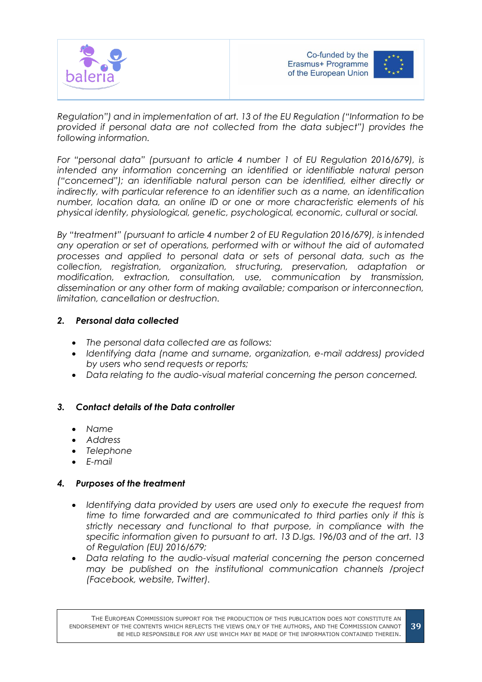



*Regulation") and in implementation of art. 13 of the EU Regulation ("Information to be provided if personal data are not collected from the data subject") provides the following information.*

*For "personal data" (pursuant to article 4 number 1 of EU Regulation 2016/679), is intended any information concerning an identified or identifiable natural person ("concerned"); an identifiable natural person can be identified, either directly or indirectly, with particular reference to an identifier such as a name, an identification number, location data, an online ID or one or more characteristic elements of his physical identity, physiological, genetic, psychological, economic, cultural or social.*

*By "treatment" (pursuant to article 4 number 2 of EU Regulation 2016/679), is intended any operation or set of operations, performed with or without the aid of automated processes and applied to personal data or sets of personal data, such as the collection, registration, organization, structuring, preservation, adaptation or modification, extraction, consultation, use, communication by transmission, dissemination or any other form of making available; comparison or interconnection, limitation, cancellation or destruction.*

## *2. Personal data collected*

- *The personal data collected are as follows:*
- *Identifying data (name and surname, organization, e-mail address) provided by users who send requests or reports;*
- *Data relating to the audio-visual material concerning the person concerned.*

## *3. Contact details of the Data controller*

- *Name*
- *Address*
- *Telephone*
- *E-mail*

## *4. Purposes of the treatment*

- *Identifying data provided by users are used only to execute the request from time to time forwarded and are communicated to third parties only if this is strictly necessary and functional to that purpose, in compliance with the specific information given to pursuant to art. 13 D.lgs. 196/03 and of the art. 13 of Regulation (EU) 2016/679;*
- *Data relating to the audio-visual material concerning the person concerned may be published on the institutional communication channels /project (Facebook, website, Twitter).*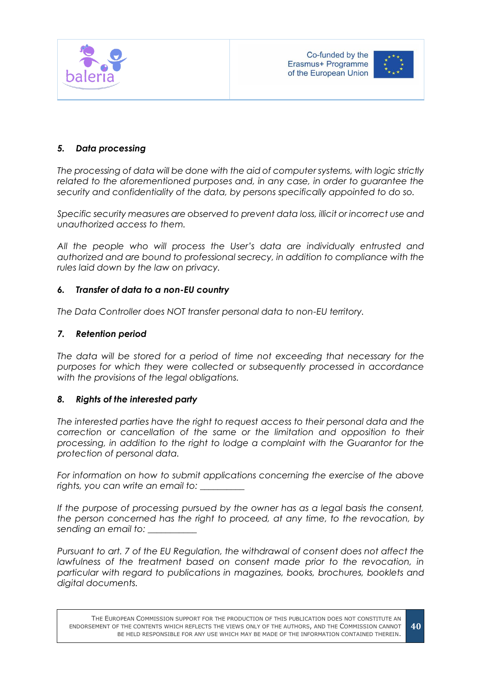



## *5. Data processing*

*The processing of data will be done with the aid of computer systems, with logic strictly related to the aforementioned purposes and, in any case, in order to guarantee the security and confidentiality of the data, by persons specifically appointed to do so.*

*Specific security measures are observed to prevent data loss, illicit or incorrect use and unauthorized access to them.*

*All the people who will process the User's data are individually entrusted and authorized and are bound to professional secrecy, in addition to compliance with the rules laid down by the law on privacy.*

### *6. Transfer of data to a non-EU country*

*The Data Controller does NOT transfer personal data to non-EU territory.*

### *7. Retention period*

*The data will be stored for a period of time not exceeding that necessary for the purposes for which they were collected or subsequently processed in accordance with the provisions of the legal obligations.*

## *8. Rights of the interested party*

*The interested parties have the right to request access to their personal data and the correction or cancellation of the same or the limitation and opposition to their processing, in addition to the right to lodge a complaint with the Guarantor for the protection of personal data.*

*For information on how to submit applications concerning the exercise of the above rights, you can write an email to: \_\_\_\_\_\_\_\_\_\_*

If the purpose of processing pursued by the owner has as a legal basis the consent, *the person concerned has the right to proceed, at any time, to the revocation, by sending an email to: \_\_\_\_\_\_\_\_\_\_\_*

*Pursuant to art. 7 of the EU Regulation, the withdrawal of consent does not affect the lawfulness of the treatment based on consent made prior to the revocation, in particular with regard to publications in magazines, books, brochures, booklets and digital documents.*